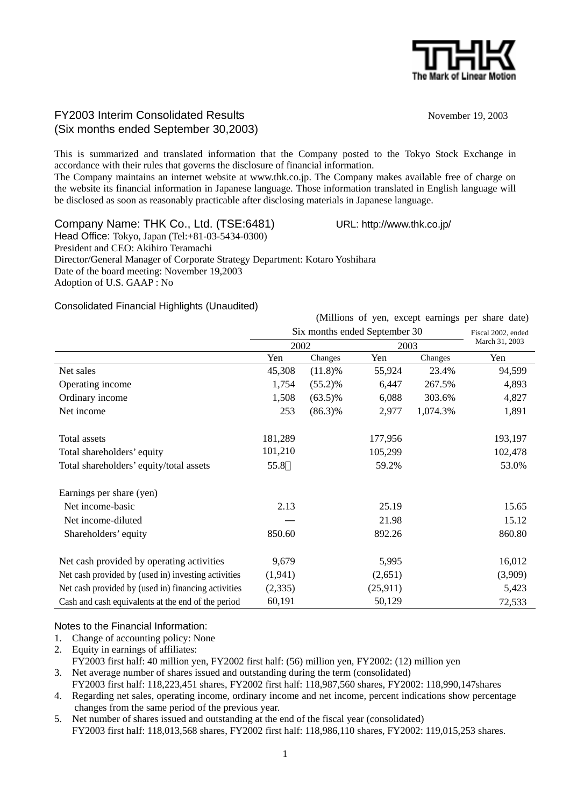

# FY2003 Interim Consolidated Results November 19, 2003 (Six months ended September 30,2003)

This is summarized and translated information that the Company posted to the Tokyo Stock Exchange in accordance with their rules that governs the disclosure of financial information.

The Company maintains an internet website at www.thk.co.jp. The Company makes available free of charge on the website its financial information in Japanese language. Those information translated in English language will be disclosed as soon as reasonably practicable after disclosing materials in Japanese language.

Company Name: THK Co., Ltd. (TSE:6481) URL: http://www.thk.co.jp/

Head Office: Tokyo, Japan (Tel:+81-03-5434-0300) President and CEO: Akihiro Teramachi Director/General Manager of Corporate Strategy Department: Kotaro Yoshihara Date of the board meeting: November 19,2003 Adoption of U.S. GAAP : No

Consolidated Financial Highlights (Unaudited)

(Millions of yen, except earnings per share date) Six months ended September 30 2002 2003 Fiscal 2002, ended March 31, 2003 Yen Changes Yen Changes Yen Net sales 6 11.8)% 55,924 23.4% 94,599 Operating income 1,754 (55.2)% 6,447 267.5% 4,893 Ordinary income 1,508 (63.5)% 6,088 303.6% 4,827 Net income 253 (86.3)% 2,977 1,074.3% 1,891 Total assets 181,289 177,956 193,197 Total shareholders' equity 101,210 105,299 102,478 Total shareholders' equity/total assets 55.8 59.2% 53.0% Earnings per share (yen) Net income-basic 2.13 25.19 25.65 Net income-diluted 21.98 15.12 Shareholders' equity 850.60 892.26 860.80 Net cash provided by operating activities 9,679 5,995 5,995 16,012 Net cash provided by (used in) investing activities  $(1,941)$   $(2,651)$   $(3,909)$ Net cash provided by (used in) financing activities (2,335) (25,911) 5,423 Cash and cash equivalents at the end of the period 60,191 50,129 72,533

### Notes to the Financial Information:

- 1. Change of accounting policy: None
- 2. Equity in earnings of affiliates:

FY2003 first half: 40 million yen, FY2002 first half: (56) million yen, FY2002: (12) million yen

- 3. Net average number of shares issued and outstanding during the term (consolidated)
	- FY2003 first half: 118,223,451 shares, FY2002 first half: 118,987,560 shares, FY2002: 118,990,147shares
- 4. Regarding net sales, operating income, ordinary income and net income, percent indications show percentage changes from the same period of the previous year.
- 5. Net number of shares issued and outstanding at the end of the fiscal year (consolidated) FY2003 first half: 118,013,568 shares, FY2002 first half: 118,986,110 shares, FY2002: 119,015,253 shares.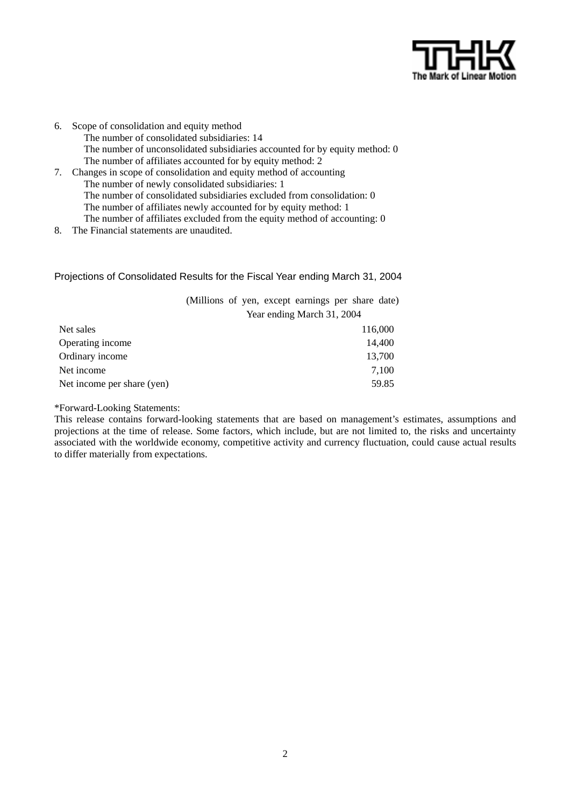

6. Scope of consolidation and equity method The number of consolidated subsidiaries: 14 The number of unconsolidated subsidiaries accounted for by equity method: 0 The number of affiliates accounted for by equity method: 2 7. Changes in scope of consolidation and equity method of accounting The number of newly consolidated subsidiaries: 1 The number of consolidated subsidiaries excluded from consolidation: 0 The number of affiliates newly accounted for by equity method: 1

The number of affiliates excluded from the equity method of accounting: 0

8. The Financial statements are unaudited.

#### Projections of Consolidated Results for the Fiscal Year ending March 31, 2004

(Millions of yen, except earnings per share date) Year ending March 31, 2004

| Net sales                  | 116,000 |
|----------------------------|---------|
| Operating income           | 14.400  |
| Ordinary income            | 13,700  |
| Net income                 | 7,100   |
| Net income per share (yen) | 59.85   |

\*Forward-Looking Statements:

This release contains forward-looking statements that are based on management's estimates, assumptions and projections at the time of release. Some factors, which include, but are not limited to, the risks and uncertainty associated with the worldwide economy, competitive activity and currency fluctuation, could cause actual results to differ materially from expectations.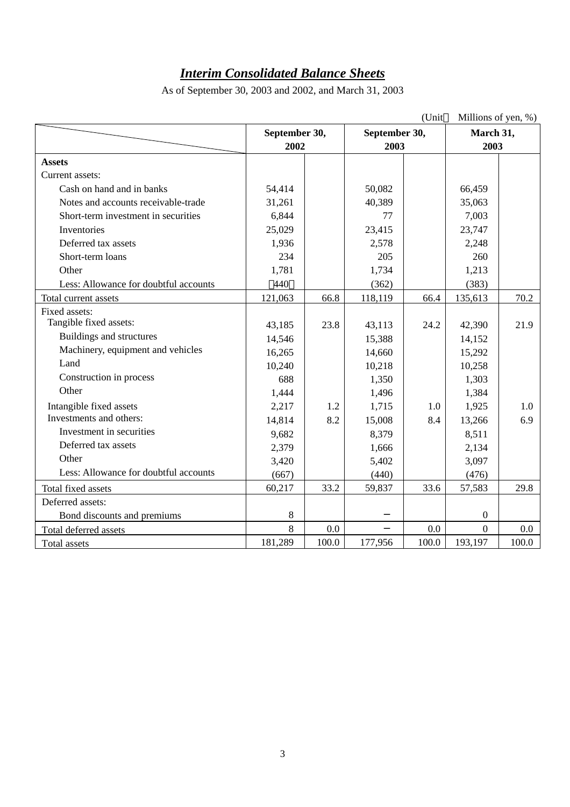# *Interim Consolidated Balance Sheets*

|                                       |               |       |               | (Unit | Millions of yen, %) |       |
|---------------------------------------|---------------|-------|---------------|-------|---------------------|-------|
|                                       | September 30, |       | September 30, |       | March 31,           |       |
|                                       | 2002          |       | 2003          |       | 2003                |       |
| <b>Assets</b>                         |               |       |               |       |                     |       |
| Current assets:                       |               |       |               |       |                     |       |
| Cash on hand and in banks             | 54,414        |       | 50,082        |       | 66,459              |       |
| Notes and accounts receivable-trade   | 31,261        |       | 40,389        |       | 35,063              |       |
| Short-term investment in securities   | 6,844         |       | 77            |       | 7,003               |       |
| Inventories                           | 25,029        |       | 23,415        |       | 23,747              |       |
| Deferred tax assets                   | 1,936         |       | 2,578         |       | 2,248               |       |
| Short-term loans                      | 234           |       | 205           |       | 260                 |       |
| Other                                 | 1,781         |       | 1,734         |       | 1,213               |       |
| Less: Allowance for doubtful accounts | 440           |       | (362)         |       | (383)               |       |
| Total current assets                  | 121,063       | 66.8  | 118,119       | 66.4  | 135,613             | 70.2  |
| Fixed assets:                         |               |       |               |       |                     |       |
| Tangible fixed assets:                | 43,185        | 23.8  | 43,113        | 24.2  | 42,390              | 21.9  |
| Buildings and structures              | 14,546        |       | 15,388        |       | 14,152              |       |
| Machinery, equipment and vehicles     | 16,265        |       | 14,660        |       | 15,292              |       |
| Land                                  | 10,240        |       | 10,218        |       | 10,258              |       |
| Construction in process               | 688           |       | 1,350         |       | 1,303               |       |
| Other                                 | 1,444         |       | 1,496         |       | 1,384               |       |
| Intangible fixed assets               | 2,217         | 1.2   | 1,715         | 1.0   | 1,925               | 1.0   |
| Investments and others:               | 14,814        | 8.2   | 15,008        | 8.4   | 13,266              | 6.9   |
| Investment in securities              | 9,682         |       | 8,379         |       | 8,511               |       |
| Deferred tax assets                   | 2,379         |       | 1,666         |       | 2,134               |       |
| Other                                 | 3,420         |       | 5,402         |       | 3,097               |       |
| Less: Allowance for doubtful accounts | (667)         |       | (440)         |       | (476)               |       |
| Total fixed assets                    | 60,217        | 33.2  | 59,837        | 33.6  | 57,583              | 29.8  |
| Deferred assets:                      |               |       |               |       |                     |       |
| Bond discounts and premiums           | 8             |       |               |       | $\boldsymbol{0}$    |       |
| Total deferred assets                 | 8             | 0.0   |               | 0.0   | $\boldsymbol{0}$    | 0.0   |
| Total assets                          | 181,289       | 100.0 | 177,956       | 100.0 | 193,197             | 100.0 |

As of September 30, 2003 and 2002, and March 31, 2003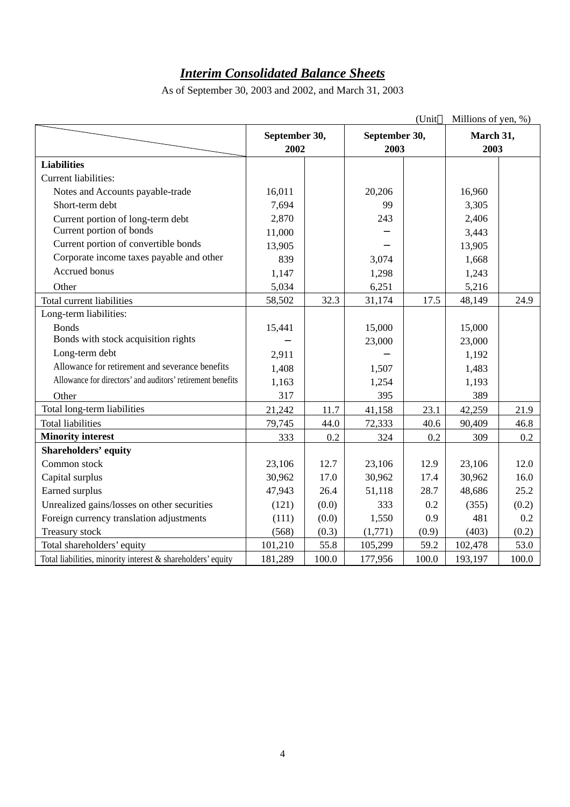# *Interim Consolidated Balance Sheets*

|                                                             |               |       |               | (Unit | Millions of yen, %) |       |
|-------------------------------------------------------------|---------------|-------|---------------|-------|---------------------|-------|
|                                                             | September 30, |       | September 30, |       | March 31,           |       |
|                                                             | 2002          |       | 2003          |       | 2003                |       |
| <b>Liabilities</b>                                          |               |       |               |       |                     |       |
| Current liabilities:                                        |               |       |               |       |                     |       |
| Notes and Accounts payable-trade                            | 16,011        |       | 20,206        |       | 16,960              |       |
| Short-term debt                                             | 7,694         |       | 99            |       | 3,305               |       |
| Current portion of long-term debt                           | 2,870         |       | 243           |       | 2,406               |       |
| Current portion of bonds                                    | 11,000        |       |               |       | 3,443               |       |
| Current portion of convertible bonds                        | 13,905        |       |               |       | 13,905              |       |
| Corporate income taxes payable and other                    | 839           |       | 3,074         |       | 1,668               |       |
| Accrued bonus                                               | 1,147         |       | 1,298         |       | 1,243               |       |
| Other                                                       | 5,034         |       | 6,251         |       | 5,216               |       |
| Total current liabilities                                   | 58,502        | 32.3  | 31,174        | 17.5  | 48,149              | 24.9  |
| Long-term liabilities:                                      |               |       |               |       |                     |       |
| <b>Bonds</b>                                                | 15,441        |       | 15,000        |       | 15,000              |       |
| Bonds with stock acquisition rights                         |               |       | 23,000        |       | 23,000              |       |
| Long-term debt                                              | 2,911         |       |               |       | 1,192               |       |
| Allowance for retirement and severance benefits             | 1,408         |       | 1,507         |       | 1,483               |       |
| Allowance for directors' and auditors' retirement benefits  | 1,163         |       | 1,254         |       | 1,193               |       |
| Other                                                       | 317           |       | 395           |       | 389                 |       |
| Total long-term liabilities                                 | 21,242        | 11.7  | 41,158        | 23.1  | 42,259              | 21.9  |
| <b>Total liabilities</b>                                    | 79,745        | 44.0  | 72,333        | 40.6  | 90,409              | 46.8  |
| <b>Minority interest</b>                                    | 333           | 0.2   | 324           | 0.2   | 309                 | 0.2   |
| <b>Shareholders' equity</b>                                 |               |       |               |       |                     |       |
| Common stock                                                | 23,106        | 12.7  | 23,106        | 12.9  | 23,106              | 12.0  |
| Capital surplus                                             | 30,962        | 17.0  | 30,962        | 17.4  | 30,962              | 16.0  |
| Earned surplus                                              | 47,943        | 26.4  | 51,118        | 28.7  | 48,686              | 25.2  |
| Unrealized gains/losses on other securities                 | (121)         | (0.0) | 333           | 0.2   | (355)               | (0.2) |
| Foreign currency translation adjustments                    | (111)         | (0.0) | 1,550         | 0.9   | 481                 | 0.2   |
| Treasury stock                                              | (568)         | (0.3) | (1,771)       | (0.9) | (403)               | (0.2) |
| Total shareholders' equity                                  | 101,210       | 55.8  | 105,299       | 59.2  | 102,478             | 53.0  |
| Total liabilities, minority interest & shareholders' equity | 181,289       | 100.0 | 177,956       | 100.0 | 193,197             | 100.0 |

As of September 30, 2003 and 2002, and March 31, 2003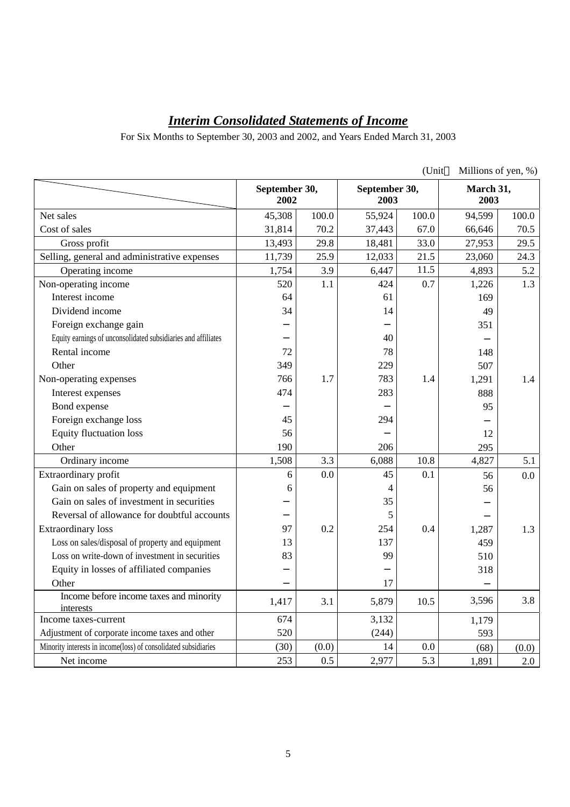# *Interim Consolidated Statements of Income*

For Six Months to September 30, 2003 and 2002, and Years Ended March 31, 2003

|                                                                 |                       |       |                       | (Unit |                   | Millions of yen, %) |
|-----------------------------------------------------------------|-----------------------|-------|-----------------------|-------|-------------------|---------------------|
|                                                                 | September 30,<br>2002 |       | September 30,<br>2003 |       | March 31,<br>2003 |                     |
| Net sales                                                       | 45,308                | 100.0 | 55,924                | 100.0 | 94,599            | 100.0               |
| Cost of sales                                                   | 31,814                | 70.2  | 37,443                | 67.0  | 66,646            | 70.5                |
| Gross profit                                                    | 13,493                | 29.8  | 18,481                | 33.0  | 27,953            | 29.5                |
| Selling, general and administrative expenses                    | 11,739                | 25.9  | 12,033                | 21.5  | 23,060            | 24.3                |
| Operating income                                                | 1,754                 | 3.9   | 6,447                 | 11.5  | 4,893             | 5.2                 |
| Non-operating income                                            | 520                   | 1.1   | 424                   | 0.7   | 1,226             | 1.3                 |
| Interest income                                                 | 64                    |       | 61                    |       | 169               |                     |
| Dividend income                                                 | 34                    |       | 14                    |       | 49                |                     |
| Foreign exchange gain                                           |                       |       |                       |       | 351               |                     |
| Equity earnings of unconsolidated subsidiaries and affiliates   |                       |       | 40                    |       |                   |                     |
| Rental income                                                   | 72                    |       | 78                    |       | 148               |                     |
| Other                                                           | 349                   |       | 229                   |       | 507               |                     |
| Non-operating expenses                                          | 766                   | 1.7   | 783                   | 1.4   | 1,291             | 1.4                 |
| Interest expenses                                               | 474                   |       | 283                   |       | 888               |                     |
| Bond expense                                                    |                       |       |                       |       | 95                |                     |
| Foreign exchange loss                                           | 45                    |       | 294                   |       |                   |                     |
| <b>Equity fluctuation loss</b>                                  | 56                    |       |                       |       | 12                |                     |
| Other                                                           | 190                   |       | 206                   |       | 295               |                     |
| Ordinary income                                                 | 1,508                 | 3.3   | 6,088                 | 10.8  | 4,827             | 5.1                 |
| Extraordinary profit                                            | 6                     | 0.0   | 45                    | 0.1   | 56                | 0.0                 |
| Gain on sales of property and equipment                         | 6                     |       | 4                     |       | 56                |                     |
| Gain on sales of investment in securities                       |                       |       | 35                    |       |                   |                     |
| Reversal of allowance for doubtful accounts                     |                       |       | 5                     |       |                   |                     |
| <b>Extraordinary</b> loss                                       | 97                    | 0.2   | 254                   | 0.4   | 1,287             | 1.3                 |
| Loss on sales/disposal of property and equipment                | 13                    |       | 137                   |       | 459               |                     |
| Loss on write-down of investment in securities                  | 83                    |       | 99                    |       | 510               |                     |
| Equity in losses of affiliated companies                        |                       |       |                       |       | 318               |                     |
| Other                                                           |                       |       | 17                    |       |                   |                     |
| Income before income taxes and minority<br>interests            | 1,417                 | 3.1   | 5,879                 | 10.5  | 3,596             | 3.8                 |
| Income taxes-current                                            | 674                   |       | 3,132                 |       | 1,179             |                     |
| Adjustment of corporate income taxes and other                  | 520                   |       | (244)                 |       | 593               |                     |
| Minority interests in income(loss) of consolidated subsidiaries | (30)                  | (0.0) | 14                    | 0.0   | (68)              | (0.0)               |
| Net income                                                      | 253                   | 0.5   | 2,977                 | 5.3   | 1,891             | 2.0                 |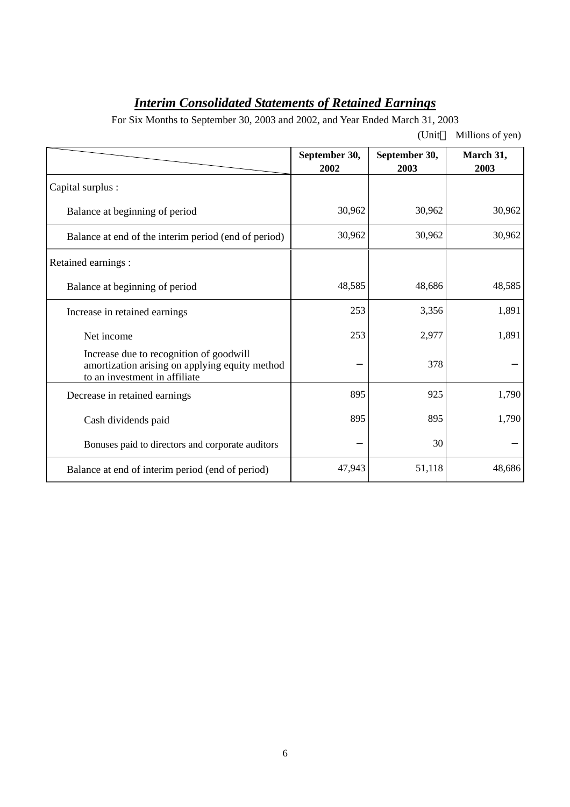# *Interim Consolidated Statements of Retained Earnings*

For Six Months to September 30, 2003 and 2002, and Year Ended March 31, 2003

|                                                                                                                            |                       | (Unit                 | Millions of yen)  |
|----------------------------------------------------------------------------------------------------------------------------|-----------------------|-----------------------|-------------------|
|                                                                                                                            | September 30,<br>2002 | September 30,<br>2003 | March 31,<br>2003 |
| Capital surplus :                                                                                                          |                       |                       |                   |
| Balance at beginning of period                                                                                             | 30,962                | 30,962                | 30,962            |
| Balance at end of the interim period (end of period)                                                                       | 30,962                | 30,962                | 30,962            |
| Retained earnings :                                                                                                        |                       |                       |                   |
| Balance at beginning of period                                                                                             | 48,585                | 48,686                | 48,585            |
| Increase in retained earnings                                                                                              | 253                   | 3,356                 | 1,891             |
| Net income                                                                                                                 | 253                   | 2,977                 | 1,891             |
| Increase due to recognition of goodwill<br>amortization arising on applying equity method<br>to an investment in affiliate |                       | 378                   |                   |
| Decrease in retained earnings                                                                                              | 895                   | 925                   | 1,790             |
| Cash dividends paid                                                                                                        | 895                   | 895                   | 1,790             |
| Bonuses paid to directors and corporate auditors                                                                           |                       | 30                    |                   |
| Balance at end of interim period (end of period)                                                                           | 47,943                | 51,118                | 48,686            |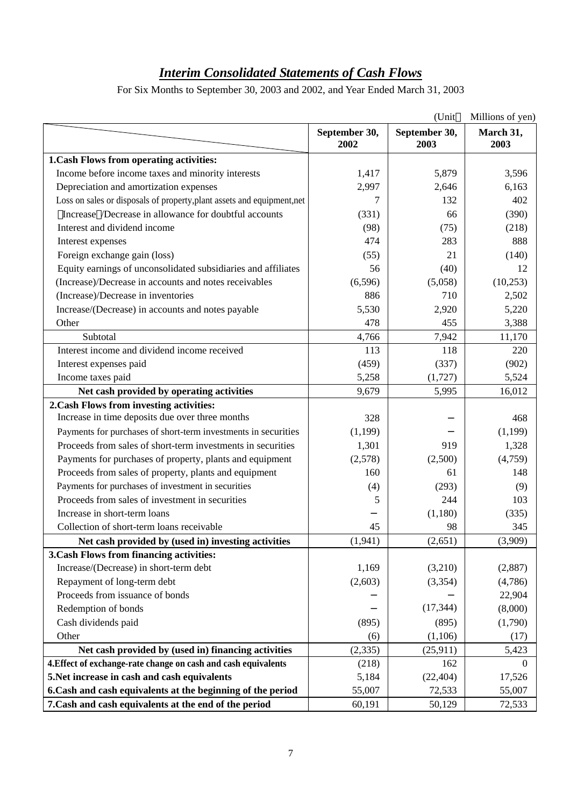# *Interim Consolidated Statements of Cash Flows*

For Six Months to September 30, 2003 and 2002, and Year Ended March 31, 2003

|                                                                         |                       | (Unit                 | Millions of yen)  |
|-------------------------------------------------------------------------|-----------------------|-----------------------|-------------------|
|                                                                         | September 30,<br>2002 | September 30,<br>2003 | March 31,<br>2003 |
| 1. Cash Flows from operating activities:                                |                       |                       |                   |
| Income before income taxes and minority interests                       | 1,417                 | 5,879                 | 3,596             |
| Depreciation and amortization expenses                                  | 2,997                 | 2,646                 | 6,163             |
| Loss on sales or disposals of property, plant assets and equipment, net | 7                     | 132                   | 402               |
| Increase /Decrease in allowance for doubtful accounts                   | (331)                 | 66                    | (390)             |
| Interest and dividend income                                            | (98)                  | (75)                  | (218)             |
| Interest expenses                                                       | 474                   | 283                   | 888               |
| Foreign exchange gain (loss)                                            | (55)                  | 21                    | (140)             |
| Equity earnings of unconsolidated subsidiaries and affiliates           | 56                    | (40)                  | 12                |
| (Increase)/Decrease in accounts and notes receivables                   | (6,596)               | (5,058)               | (10,253)          |
| (Increase)/Decrease in inventories                                      | 886                   | 710                   | 2,502             |
| Increase/(Decrease) in accounts and notes payable                       | 5,530                 | 2,920                 | 5,220             |
| Other                                                                   | 478                   | 455                   | 3,388             |
| Subtotal                                                                | 4,766                 | 7,942                 | 11,170            |
| Interest income and dividend income received                            | 113                   | 118                   | 220               |
| Interest expenses paid                                                  | (459)                 | (337)                 | (902)             |
| Income taxes paid                                                       | 5,258                 | (1,727)               | 5,524             |
| Net cash provided by operating activities                               | 9,679                 | 5,995                 | 16,012            |
| 2. Cash Flows from investing activities:                                |                       |                       |                   |
| Increase in time deposits due over three months                         | 328                   |                       | 468               |
| Payments for purchases of short-term investments in securities          | (1,199)               |                       | (1,199)           |
| Proceeds from sales of short-term investments in securities             | 1,301                 | 919                   | 1,328             |
| Payments for purchases of property, plants and equipment                | (2,578)               | (2,500)               | (4,759)           |
| Proceeds from sales of property, plants and equipment                   | 160                   | 61                    | 148               |
| Payments for purchases of investment in securities                      | (4)                   | (293)                 | (9)               |
| Proceeds from sales of investment in securities                         | 5                     | 244                   | 103               |
| Increase in short-term loans                                            |                       | (1,180)               | (335)             |
| Collection of short-term loans receivable                               | 45                    | 98                    | 345               |
| Net cash provided by (used in) investing activities                     | (1, 941)              | (2,651)               | (3,909)           |
| 3. Cash Flows from financing activities:                                |                       |                       |                   |
| Increase/(Decrease) in short-term debt                                  | 1,169                 | (3,210)               | (2,887)           |
| Repayment of long-term debt                                             | (2,603)               | (3,354)               | (4,786)           |
| Proceeds from issuance of bonds                                         |                       |                       | 22,904            |
| Redemption of bonds                                                     |                       | (17, 344)             | (8,000)           |
| Cash dividends paid                                                     | (895)                 | (895)                 | (1,790)           |
| Other                                                                   | (6)                   | (1,106)               | (17)              |
| Net cash provided by (used in) financing activities                     | (2, 335)              | (25,911)              | 5,423             |
| 4. Effect of exchange-rate change on cash and cash equivalents          | (218)                 | 162                   | $\Omega$          |
| 5. Net increase in cash and cash equivalents                            | 5,184                 | (22, 404)             | 17,526            |
| 6. Cash and cash equivalents at the beginning of the period             | 55,007                | 72,533                | 55,007            |
| 7. Cash and cash equivalents at the end of the period                   | 60,191                | 50,129                | 72,533            |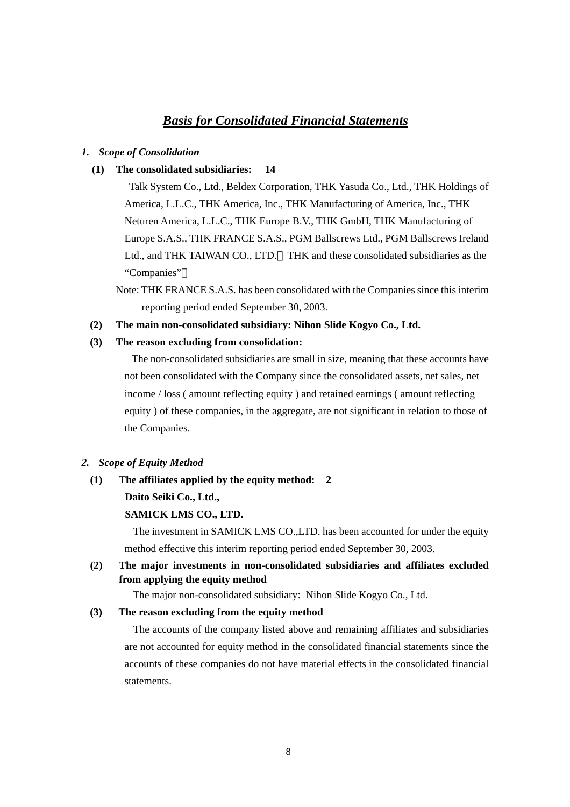# *Basis for Consolidated Financial Statements*

#### *1. Scope of Consolidation*

#### **(1) The consolidated subsidiaries: 14**

 Talk System Co., Ltd., Beldex Corporation, THK Yasuda Co., Ltd., THK Holdings of America, L.L.C., THK America, Inc., THK Manufacturing of America, Inc., THK Neturen America, L.L.C., THK Europe B.V., THK GmbH, THK Manufacturing of Europe S.A.S., THK FRANCE S.A.S., PGM Ballscrews Ltd., PGM Ballscrews Ireland Ltd., and THK TAIWAN CO., LTD. THK and these consolidated subsidiaries as the "Companies"

Note: THK FRANCE S.A.S. has been consolidated with the Companies since this interim reporting period ended September 30, 2003.

#### **(2) The main non-consolidated subsidiary: Nihon Slide Kogyo Co., Ltd.**

#### **(3) The reason excluding from consolidation:**

 The non-consolidated subsidiaries are small in size, meaning that these accounts have not been consolidated with the Company since the consolidated assets, net sales, net income / loss ( amount reflecting equity ) and retained earnings ( amount reflecting equity ) of these companies, in the aggregate, are not significant in relation to those of the Companies.

#### *2. Scope of Equity Method*

#### **(1) The affiliates applied by the equity method: 2**

#### **Daito Seiki Co., Ltd.,**

#### **SAMICK LMS CO., LTD.**

The investment in SAMICK LMS CO.,LTD. has been accounted for under the equity method effective this interim reporting period ended September 30, 2003.

### **(2) The major investments in non-consolidated subsidiaries and affiliates excluded from applying the equity method**

The major non-consolidated subsidiary: Nihon Slide Kogyo Co., Ltd.

#### **(3) The reason excluding from the equity method**

The accounts of the company listed above and remaining affiliates and subsidiaries are not accounted for equity method in the consolidated financial statements since the accounts of these companies do not have material effects in the consolidated financial statements.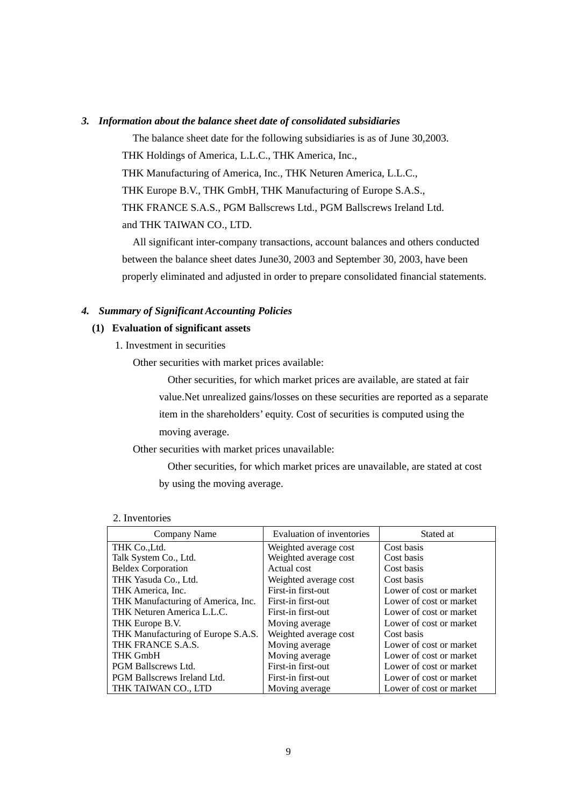#### *3. Information about the balance sheet date of consolidated subsidiaries*

The balance sheet date for the following subsidiaries is as of June 30,2003. THK Holdings of America, L.L.C., THK America, Inc., THK Manufacturing of America, Inc., THK Neturen America, L.L.C., THK Europe B.V., THK GmbH, THK Manufacturing of Europe S.A.S., THK FRANCE S.A.S., PGM Ballscrews Ltd., PGM Ballscrews Ireland Ltd. and THK TAIWAN CO., LTD.

All significant inter-company transactions, account balances and others conducted between the balance sheet dates June30, 2003 and September 30, 2003, have been properly eliminated and adjusted in order to prepare consolidated financial statements.

#### *4. Summary of Significant Accounting Policies*

#### **(1) Evaluation of significant assets**

1. Investment in securities

Other securities with market prices available:

Other securities, for which market prices are available, are stated at fair value.Net unrealized gains/losses on these securities are reported as a separate item in the shareholders' equity. Cost of securities is computed using the moving average.

Other securities with market prices unavailable:

Other securities, for which market prices are unavailable, are stated at cost by using the moving average.

| 2. Inventories |  |
|----------------|--|
|                |  |

| Company Name                       | Evaluation of inventories | Stated at               |
|------------------------------------|---------------------------|-------------------------|
| THK Co., Ltd.                      | Weighted average cost     | Cost basis              |
| Talk System Co., Ltd.              | Weighted average cost     | Cost basis              |
| <b>Beldex Corporation</b>          | Actual cost               | Cost basis              |
| THK Yasuda Co., Ltd.               | Weighted average cost     | Cost basis              |
| THK America, Inc.                  | First-in first-out        | Lower of cost or market |
| THK Manufacturing of America, Inc. | First-in first-out        | Lower of cost or market |
| THK Neturen America L.L.C.         | First-in first-out        | Lower of cost or market |
| THK Europe B.V.                    | Moving average            | Lower of cost or market |
| THK Manufacturing of Europe S.A.S. | Weighted average cost     | Cost basis              |
| THK FRANCE S.A.S.                  | Moving average            | Lower of cost or market |
| <b>THK GmbH</b>                    | Moving average            | Lower of cost or market |
| <b>PGM Ballscrews Ltd.</b>         | First-in first-out        | Lower of cost or market |
| <b>PGM Ballscrews Ireland Ltd.</b> | First-in first-out        | Lower of cost or market |
| THK TAIWAN CO., LTD                | Moving average            | Lower of cost or market |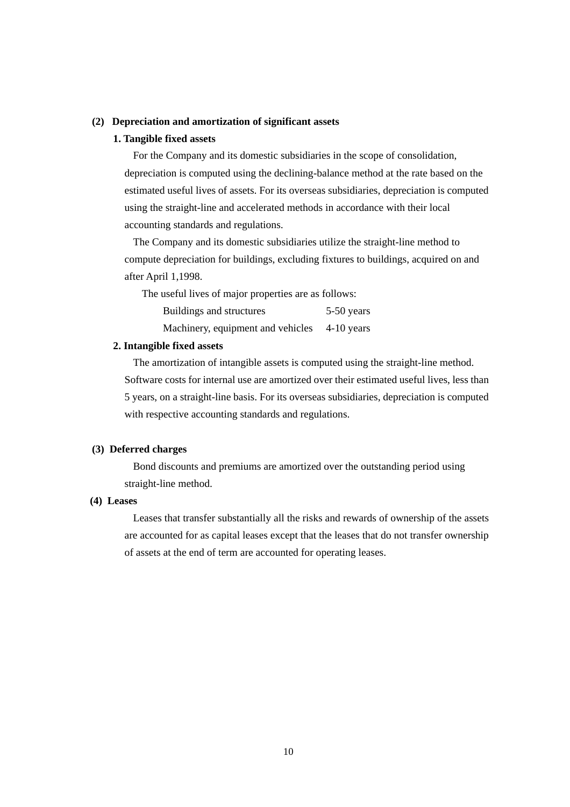#### **(2) Depreciation and amortization of significant assets**

#### **1. Tangible fixed assets**

For the Company and its domestic subsidiaries in the scope of consolidation, depreciation is computed using the declining-balance method at the rate based on the estimated useful lives of assets. For its overseas subsidiaries, depreciation is computed using the straight-line and accelerated methods in accordance with their local accounting standards and regulations.

The Company and its domestic subsidiaries utilize the straight-line method to compute depreciation for buildings, excluding fixtures to buildings, acquired on and after April 1,1998.

The useful lives of major properties are as follows:

| Buildings and structures          | $5-50$ years |
|-----------------------------------|--------------|
| Machinery, equipment and vehicles | $4-10$ years |

#### **2. Intangible fixed assets**

The amortization of intangible assets is computed using the straight-line method. Software costs for internal use are amortized over their estimated useful lives, less than 5 years, on a straight-line basis. For its overseas subsidiaries, depreciation is computed with respective accounting standards and regulations.

#### **(3) Deferred charges**

Bond discounts and premiums are amortized over the outstanding period using straight-line method.

### **(4) Leases**

Leases that transfer substantially all the risks and rewards of ownership of the assets are accounted for as capital leases except that the leases that do not transfer ownership of assets at the end of term are accounted for operating leases.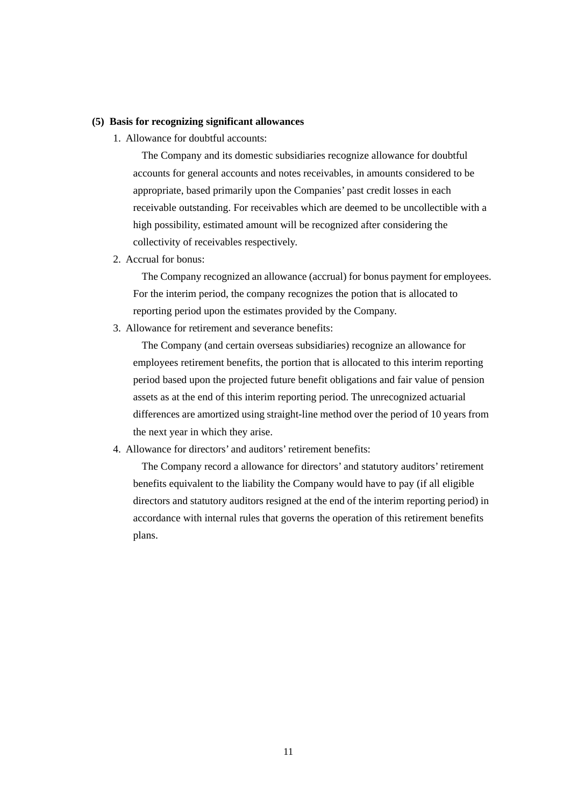#### **(5) Basis for recognizing significant allowances**

1. Allowance for doubtful accounts:

The Company and its domestic subsidiaries recognize allowance for doubtful accounts for general accounts and notes receivables, in amounts considered to be appropriate, based primarily upon the Companies' past credit losses in each receivable outstanding. For receivables which are deemed to be uncollectible with a high possibility, estimated amount will be recognized after considering the collectivity of receivables respectively.

2. Accrual for bonus:

The Company recognized an allowance (accrual) for bonus payment for employees. For the interim period, the company recognizes the potion that is allocated to reporting period upon the estimates provided by the Company.

3. Allowance for retirement and severance benefits:

The Company (and certain overseas subsidiaries) recognize an allowance for employees retirement benefits, the portion that is allocated to this interim reporting period based upon the projected future benefit obligations and fair value of pension assets as at the end of this interim reporting period. The unrecognized actuarial differences are amortized using straight-line method over the period of 10 years from the next year in which they arise.

4. Allowance for directors' and auditors' retirement benefits:

The Company record a allowance for directors' and statutory auditors' retirement benefits equivalent to the liability the Company would have to pay (if all eligible directors and statutory auditors resigned at the end of the interim reporting period) in accordance with internal rules that governs the operation of this retirement benefits plans.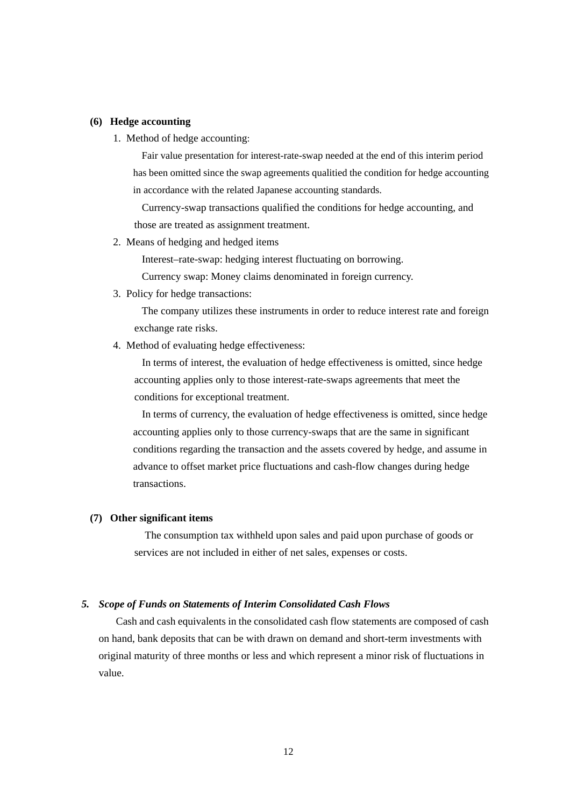#### **(6) Hedge accounting**

1. Method of hedge accounting:

Fair value presentation for interest-rate-swap needed at the end of this interim period has been omitted since the swap agreements qualitied the condition for hedge accounting in accordance with the related Japanese accounting standards.

Currency-swap transactions qualified the conditions for hedge accounting, and those are treated as assignment treatment.

2. Means of hedging and hedged items

Interest–rate-swap: hedging interest fluctuating on borrowing.

Currency swap: Money claims denominated in foreign currency.

3. Policy for hedge transactions:

The company utilizes these instruments in order to reduce interest rate and foreign exchange rate risks.

4. Method of evaluating hedge effectiveness:

In terms of interest, the evaluation of hedge effectiveness is omitted, since hedge accounting applies only to those interest-rate-swaps agreements that meet the conditions for exceptional treatment.

In terms of currency, the evaluation of hedge effectiveness is omitted, since hedge accounting applies only to those currency-swaps that are the same in significant conditions regarding the transaction and the assets covered by hedge, and assume in advance to offset market price fluctuations and cash-flow changes during hedge transactions.

### **(7) Other significant items**

The consumption tax withheld upon sales and paid upon purchase of goods or services are not included in either of net sales, expenses or costs.

#### *5. Scope of Funds on Statements of Interim Consolidated Cash Flows*

Cash and cash equivalents in the consolidated cash flow statements are composed of cash on hand, bank deposits that can be with drawn on demand and short-term investments with original maturity of three months or less and which represent a minor risk of fluctuations in value.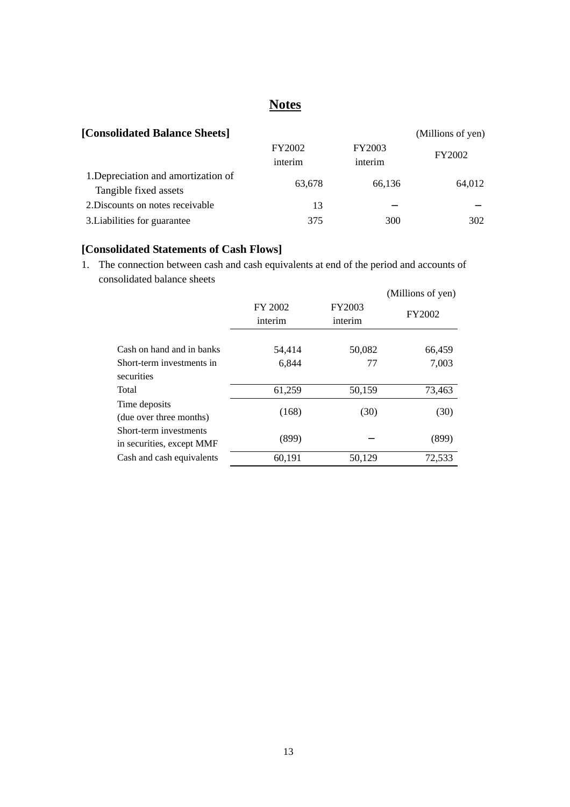# **Notes**

| [Consolidated Balance Sheets]                                |                          |                   | (Millions of yen) |
|--------------------------------------------------------------|--------------------------|-------------------|-------------------|
|                                                              | <b>FY2002</b><br>interim | FY2003<br>interim | <b>FY2002</b>     |
| 1. Depreciation and amortization of<br>Tangible fixed assets | 63,678                   | 66,136            | 64,012            |
| 2. Discounts on notes receivable                             | 13                       |                   |                   |
| 3. Liabilities for guarantee                                 | 375                      | 300               | 302               |

# **[Consolidated Statements of Cash Flows]**

1. The connection between cash and cash equivalents at end of the period and accounts of consolidated balance sheets

|                                                     |                    |                   | (Millions of yen) |
|-----------------------------------------------------|--------------------|-------------------|-------------------|
|                                                     | FY 2002<br>interim | FY2003<br>interim | FY2002            |
| Cash on hand and in banks                           | 54,414             | 50,082            | 66,459            |
| Short-term investments in<br>securities             | 6,844              | 77                | 7,003             |
| Total                                               | 61,259             | 50,159            | 73,463            |
| Time deposits<br>(due over three months)            | (168)              | (30)              | (30)              |
| Short-term investments<br>in securities, except MMF | (899)              |                   | (899)             |
| Cash and cash equivalents                           | 60,191             | 50,129            | 72,533            |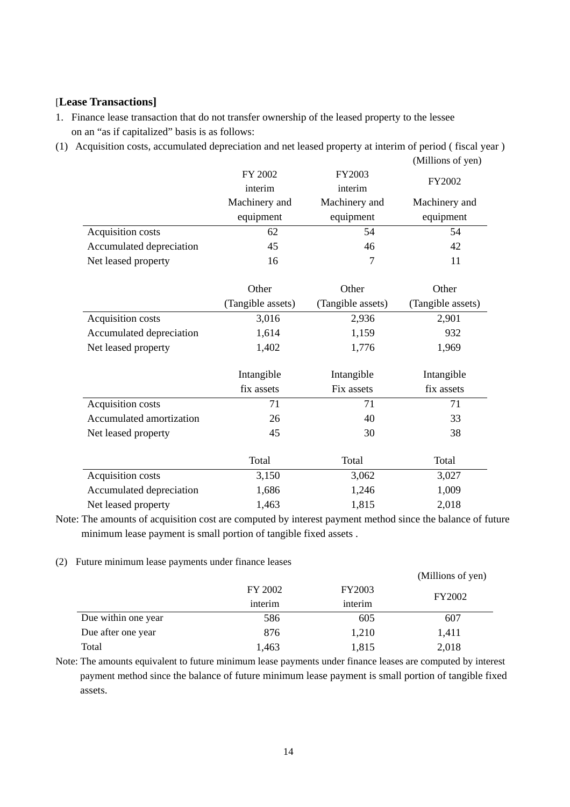### [**Lease Transactions]**

1. Finance lease transaction that do not transfer ownership of the leased property to the lessee on an "as if capitalized" basis is as follows:

(1) Acquisition costs, accumulated depreciation and net leased property at interim of period ( fiscal year )

|                          |                   |                   | (Millions of yen) |
|--------------------------|-------------------|-------------------|-------------------|
|                          | FY 2002           | FY2003            | FY2002            |
|                          | interim           | interim           |                   |
|                          | Machinery and     | Machinery and     | Machinery and     |
|                          | equipment         | equipment         | equipment         |
| Acquisition costs        | 62                | 54                | 54                |
| Accumulated depreciation | 45                | 46                | 42                |
| Net leased property      | 16                | 7                 | 11                |
|                          | Other             | Other             | Other             |
|                          | (Tangible assets) | (Tangible assets) | (Tangible assets) |
| Acquisition costs        | 3,016             | 2,936             | 2,901             |
| Accumulated depreciation | 1,614             | 1,159             | 932               |
| Net leased property      | 1,402             | 1,776             | 1,969             |
|                          | Intangible        | Intangible        | Intangible        |
|                          | fix assets        | Fix assets        | fix assets        |
| Acquisition costs        | 71                | 71                | 71                |
| Accumulated amortization | 26                | 40                | 33                |
| Net leased property      | 45                | 30                | 38                |
|                          | Total             | Total             | Total             |
| Acquisition costs        | 3,150             | 3,062             | 3,027             |
| Accumulated depreciation | 1,686             | 1,246             | 1,009             |
| Net leased property      | 1,463             | 1,815             | 2,018             |

Note: The amounts of acquisition cost are computed by interest payment method since the balance of future minimum lease payment is small portion of tangible fixed assets .

(2) Future minimum lease payments under finance leases

|                     |         |         | (Millions of yen) |
|---------------------|---------|---------|-------------------|
|                     | FY 2002 | FY2003  | <b>FY2002</b>     |
|                     | interim | interim |                   |
| Due within one year | 586     | 605     | 607               |
| Due after one year  | 876     | 1,210   | 1,411             |
| Total               | 1,463   | 1,815   | 2,018             |

Note: The amounts equivalent to future minimum lease payments under finance leases are computed by interest payment method since the balance of future minimum lease payment is small portion of tangible fixed assets.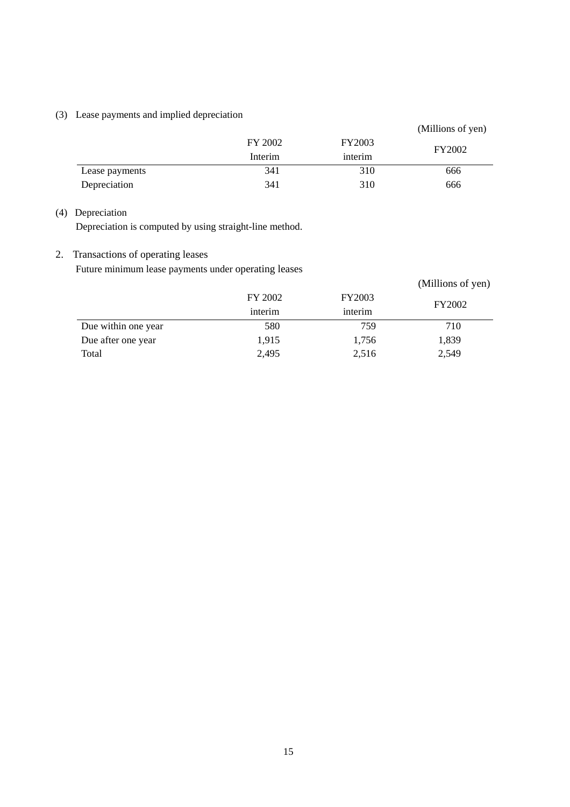# (3) Lease payments and implied depreciation

|                |         |               | (Millions of yen) |
|----------------|---------|---------------|-------------------|
|                | FY 2002 | <b>FY2003</b> | FY2002            |
|                | Interim | interim       |                   |
| Lease payments | 341     | 310           | 666               |
| Depreciation   | 341     | 310           | 666               |

### (4) Depreciation

Depreciation is computed by using straight-line method.

### 2. Transactions of operating leases

Future minimum lease payments under operating leases

|                     |         |               | (Millions of yen) |
|---------------------|---------|---------------|-------------------|
|                     | FY 2002 | <b>FY2003</b> |                   |
|                     | interim | interim       | <b>FY2002</b>     |
| Due within one year | 580     | 759           | 710               |
| Due after one year  | 1,915   | 1,756         | 1,839             |
| Total               | 2,495   | 2,516         | 2,549             |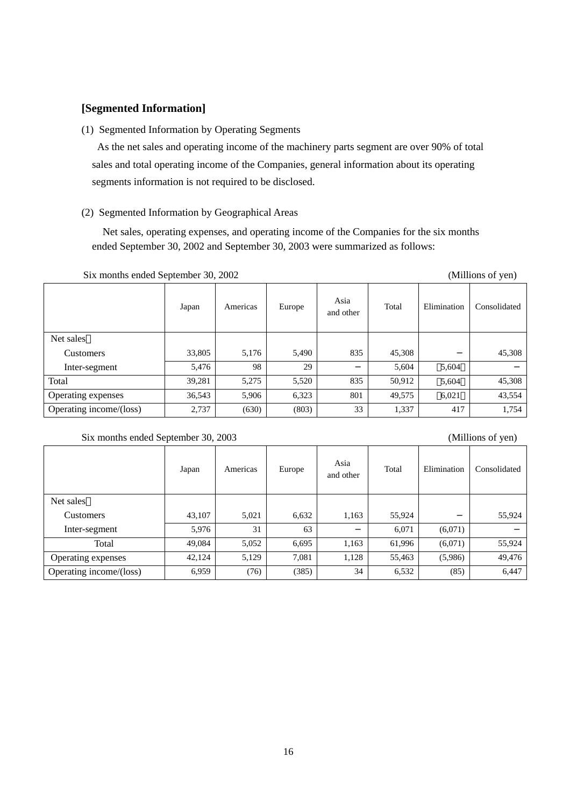### **[Segmented Information]**

#### (1) Segmented Information by Operating Segments

 As the net sales and operating income of the machinery parts segment are over 90% of total sales and total operating income of the Companies, general information about its operating segments information is not required to be disclosed.

### (2) Segmented Information by Geographical Areas

Net sales, operating expenses, and operating income of the Companies for the six months ended September 30, 2002 and September 30, 2003 were summarized as follows:

| $51.4$ monthly chaca september $50.4$ 2002 |        |          |        |                   |        | (1.111110110011, 0.01) |              |
|--------------------------------------------|--------|----------|--------|-------------------|--------|------------------------|--------------|
|                                            | Japan  | Americas | Europe | Asia<br>and other | Total  | Elimination            | Consolidated |
| Net sales                                  |        |          |        |                   |        |                        |              |
| <b>Customers</b>                           | 33,805 | 5,176    | 5,490  | 835               | 45,308 |                        | 45,308       |
| Inter-segment                              | 5,476  | 98       | 29     |                   | 5,604  | 5,604                  |              |
| Total                                      | 39,281 | 5,275    | 5,520  | 835               | 50,912 | 5,604                  | 45,308       |
| Operating expenses                         | 36,543 | 5,906    | 6,323  | 801               | 49,575 | 6,021                  | 43,554       |
| Operating income/(loss)                    | 2,737  | (630)    | (803)  | 33                | 1,337  | 417                    | 1,754        |

#### Six months ended September 30, 2002 (Millions of yen)

#### Six months ended September 30, 2003 (Millions of yen)

# Japan Americas Europe Asia Total Elimination Consolidated Net sales Customers 1,163 55,924 55,924 55,924 55,924 Inter-segment 5,976 31 63 6,071 (6,071) Total 49,084 5,052 6,695 1,163 61,996 (6,071) 55,924 Operating expenses 1 42,124 5,129 7,081 1,128 55,463 (5,986) 49,476 Operating income/(loss) 6,959 (76) (385) 34 6,532 (85) 6,447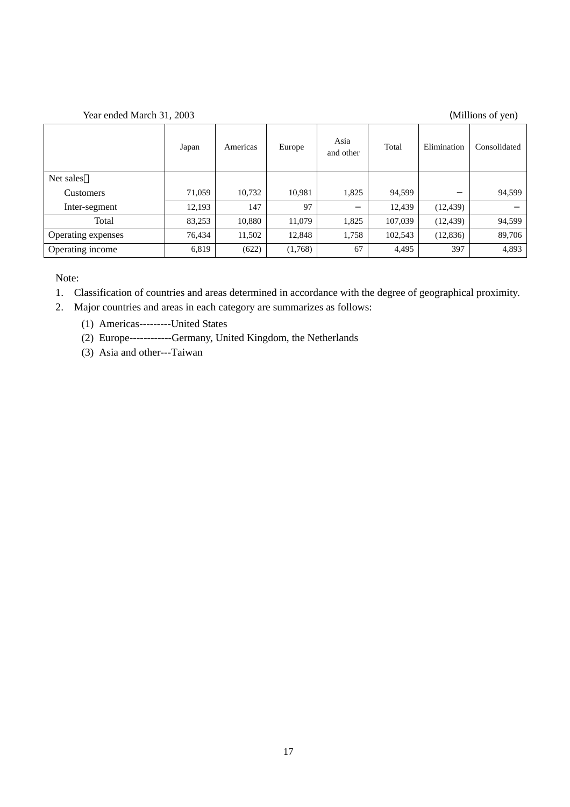### Year ended March 31, 2003 (Millions of yen)

|                    | Japan  | Americas | Europe  | Asia<br>and other | Total   | Elimination | Consolidated |
|--------------------|--------|----------|---------|-------------------|---------|-------------|--------------|
| Net sales          |        |          |         |                   |         |             |              |
| <b>Customers</b>   | 71,059 | 10,732   | 10,981  | 1,825             | 94,599  |             | 94,599       |
| Inter-segment      | 12,193 | 147      | 97      |                   | 12,439  | (12, 439)   |              |
| Total              | 83,253 | 10,880   | 11,079  | 1,825             | 107,039 | (12, 439)   | 94,599       |
| Operating expenses | 76,434 | 11,502   | 12,848  | 1,758             | 102,543 | (12, 836)   | 89,706       |
| Operating income   | 6,819  | (622)    | (1,768) | 67                | 4,495   | 397         | 4,893        |

Note:

1. Classification of countries and areas determined in accordance with the degree of geographical proximity.

2. Major countries and areas in each category are summarizes as follows:

(1) Americas---------United States

(2) Europe------------Germany, United Kingdom, the Netherlands

(3) Asia and other---Taiwan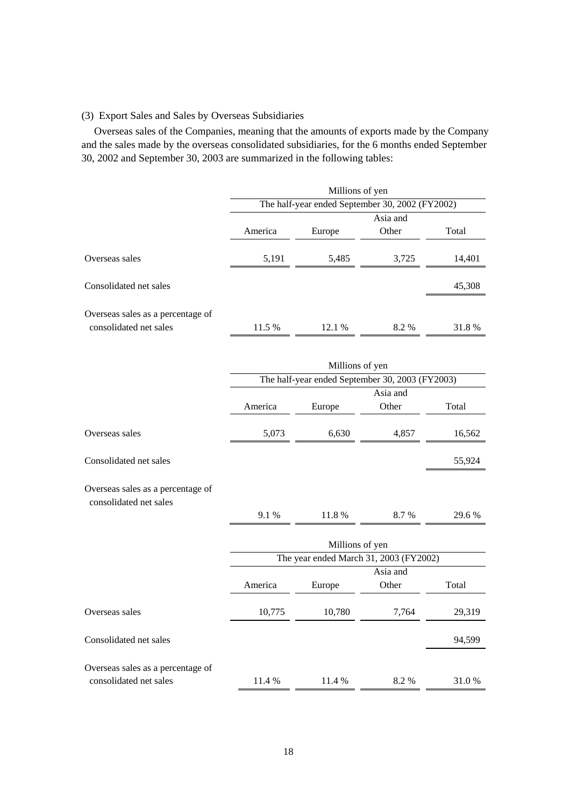### (3) Export Sales and Sales by Overseas Subsidiaries

 Overseas sales of the Companies, meaning that the amounts of exports made by the Company and the sales made by the overseas consolidated subsidiaries, for the 6 months ended September 30, 2002 and September 30, 2003 are summarized in the following tables:

|                                                             | Millions of yen                                 |        |       |        |  |
|-------------------------------------------------------------|-------------------------------------------------|--------|-------|--------|--|
|                                                             | The half-year ended September 30, 2002 (FY2002) |        |       |        |  |
|                                                             | Asia and                                        |        |       |        |  |
|                                                             | America                                         | Europe | Other | Total  |  |
| Overseas sales                                              | 5,191                                           | 5,485  | 3,725 | 14,401 |  |
| Consolidated net sales                                      |                                                 |        |       | 45,308 |  |
| Overseas sales as a percentage of<br>consolidated net sales | 11.5 %                                          | 12.1 % | 8.2 % | 31.8%  |  |

|                                                             | Millions of yen |                 |                                                 |        |
|-------------------------------------------------------------|-----------------|-----------------|-------------------------------------------------|--------|
|                                                             |                 |                 | The half-year ended September 30, 2003 (FY2003) |        |
|                                                             |                 |                 | Asia and                                        |        |
|                                                             | America         | Europe          | Other                                           | Total  |
| Overseas sales                                              | 5,073           | 6,630           | 4,857                                           | 16,562 |
| Consolidated net sales                                      |                 |                 |                                                 | 55,924 |
| Overseas sales as a percentage of<br>consolidated net sales |                 |                 |                                                 |        |
|                                                             | 9.1%            | 11.8 %          | 8.7 %                                           | 29.6 % |
|                                                             |                 | Millions of yen |                                                 |        |
|                                                             |                 |                 | The year ended March 31, 2003 (FY2002)          |        |
|                                                             |                 |                 | Asia and                                        |        |
|                                                             | America         | Europe          | Other                                           | Total  |
| Overseas sales                                              | 10,775          | 10,780          | 7,764                                           | 29,319 |
| Consolidated net sales                                      |                 |                 |                                                 | 94,599 |
| Overseas sales as a percentage of                           |                 |                 |                                                 |        |
| consolidated net sales                                      | 11.4 %          | 11.4 %          | 8.2%                                            | 31.0%  |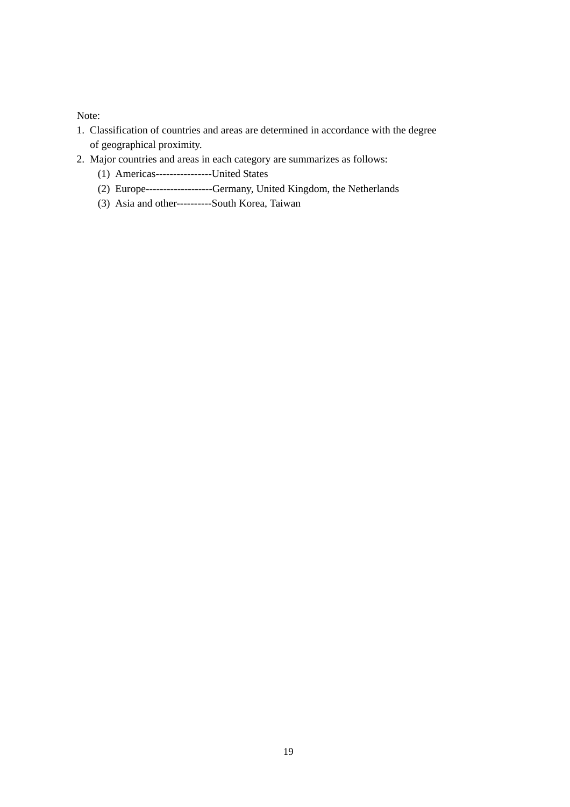Note:

- 1. Classification of countries and areas are determined in accordance with the degree of geographical proximity.
- 2. Major countries and areas in each category are summarizes as follows:
	- (1) Americas----------------United States
	- (2) Europe-------------------Germany, United Kingdom, the Netherlands
	- (3) Asia and other----------South Korea, Taiwan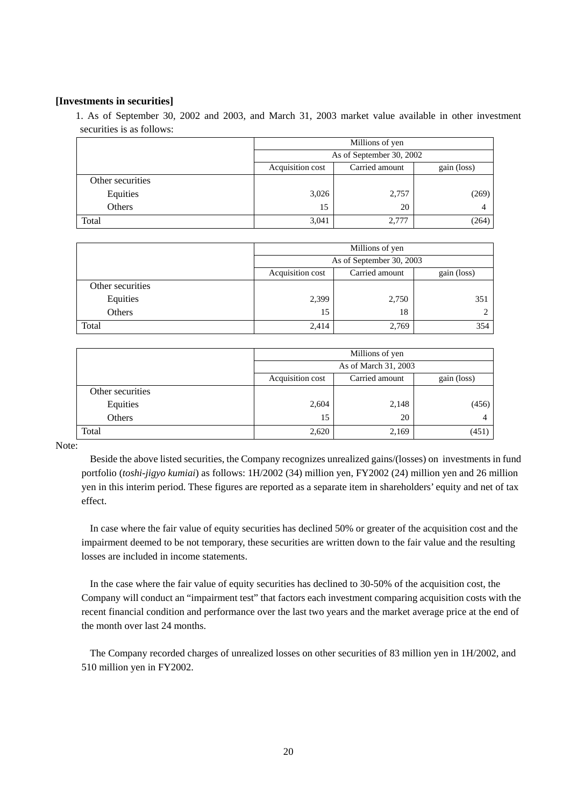#### **[Investments in securities]**

1. As of September 30, 2002 and 2003, and March 31, 2003 market value available in other investment securities is as follows:

|                  | Millions of yen                                   |       |       |  |  |  |
|------------------|---------------------------------------------------|-------|-------|--|--|--|
|                  | As of September 30, 2002                          |       |       |  |  |  |
|                  | Acquisition cost<br>Carried amount<br>gain (loss) |       |       |  |  |  |
| Other securities |                                                   |       |       |  |  |  |
| Equities         | 3,026                                             | 2,757 | (269) |  |  |  |
| Others           | 15                                                | 20    |       |  |  |  |
| Total            | 3,041                                             | 2,777 | (264) |  |  |  |

|                  | Millions of yen                                   |       |     |  |  |  |
|------------------|---------------------------------------------------|-------|-----|--|--|--|
|                  | As of September 30, 2003                          |       |     |  |  |  |
|                  | Acquisition cost<br>Carried amount<br>gain (loss) |       |     |  |  |  |
| Other securities |                                                   |       |     |  |  |  |
| Equities         | 2,399                                             | 2,750 | 351 |  |  |  |
| Others           | 15                                                | 18    |     |  |  |  |
| Total            | 2,414                                             | 2,769 | 354 |  |  |  |

|                  | Millions of yen                                   |       |       |  |  |  |
|------------------|---------------------------------------------------|-------|-------|--|--|--|
|                  | As of March 31, 2003                              |       |       |  |  |  |
|                  | Acquisition cost<br>Carried amount<br>gain (loss) |       |       |  |  |  |
| Other securities |                                                   |       |       |  |  |  |
| Equities         | 2,604                                             | 2,148 | (456) |  |  |  |
| Others           | 15                                                | 20    |       |  |  |  |
| Total            | 2,620                                             | 2,169 | (451) |  |  |  |

Note:

Beside the above listed securities, the Company recognizes unrealized gains/(losses) on investments in fund portfolio (*toshi-jigyo kumiai*) as follows: 1H/2002 (34) million yen, FY2002 (24) million yen and 26 million yen in this interim period. These figures are reported as a separate item in shareholders' equity and net of tax effect.

In case where the fair value of equity securities has declined 50% or greater of the acquisition cost and the impairment deemed to be not temporary, these securities are written down to the fair value and the resulting losses are included in income statements.

In the case where the fair value of equity securities has declined to 30-50% of the acquisition cost, the Company will conduct an "impairment test" that factors each investment comparing acquisition costs with the recent financial condition and performance over the last two years and the market average price at the end of the month over last 24 months.

The Company recorded charges of unrealized losses on other securities of 83 million yen in 1H/2002, and 510 million yen in FY2002.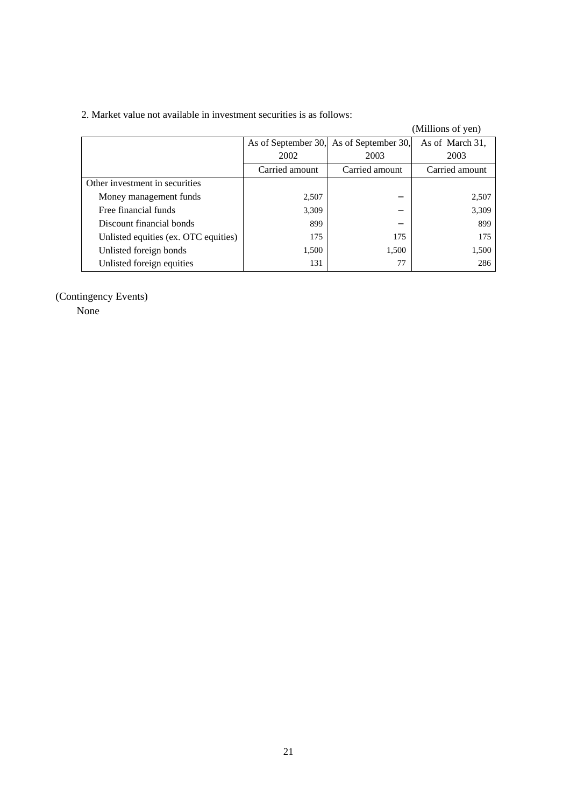| 2. Market value not available in investment securities is as follows: |  |
|-----------------------------------------------------------------------|--|
|-----------------------------------------------------------------------|--|

|                                      |                |                                         | (Millions of yen) |
|--------------------------------------|----------------|-----------------------------------------|-------------------|
|                                      |                | As of September 30, As of September 30, | As of March 31,   |
|                                      | 2002           | 2003                                    | 2003              |
|                                      | Carried amount | Carried amount                          | Carried amount    |
| Other investment in securities       |                |                                         |                   |
| Money management funds               | 2,507          |                                         | 2,507             |
| Free financial funds                 | 3,309          |                                         | 3,309             |
| Discount financial bonds             | 899            |                                         | 899               |
| Unlisted equities (ex. OTC equities) | 175            | 175                                     | 175               |
| Unlisted foreign bonds               | 1,500          | 1,500                                   | 1,500             |
| Unlisted foreign equities            | 131            | 77                                      | 286               |

# (Contingency Events)

None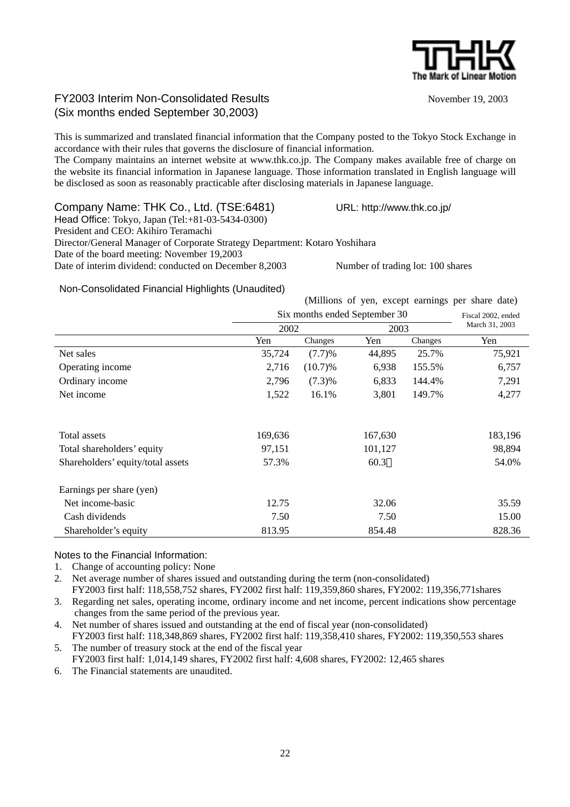

# FY2003 Interim Non-Consolidated Results November 19, 2003 (Six months ended September 30,2003)

This is summarized and translated financial information that the Company posted to the Tokyo Stock Exchange in accordance with their rules that governs the disclosure of financial information.

The Company maintains an internet website at www.thk.co.jp. The Company makes available free of charge on the website its financial information in Japanese language. Those information translated in English language will be disclosed as soon as reasonably practicable after disclosing materials in Japanese language.

Company Name: THK Co., Ltd. (TSE:6481) URL: http://www.thk.co.jp/ Head Office: Tokyo, Japan (Tel:+81-03-5434-0300) President and CEO: Akihiro Teramachi Director/General Manager of Corporate Strategy Department: Kotaro Yoshihara Date of the board meeting: November 19,2003 Date of interim dividend: conducted on December 8,2003 Number of trading lot: 100 shares

### Non-Consolidated Financial Highlights (Unaudited)

| (Millions of yen, except earnings per share date) |  |  |  |  |  |  |  |
|---------------------------------------------------|--|--|--|--|--|--|--|
|---------------------------------------------------|--|--|--|--|--|--|--|

|                                   | Six months ended September 30 |           |         |         | Fiscal 2002, ended |  |
|-----------------------------------|-------------------------------|-----------|---------|---------|--------------------|--|
|                                   | 2002                          |           | 2003    |         | March 31, 2003     |  |
|                                   | Yen                           | Changes   | Yen     | Changes | Yen                |  |
| Net sales                         | 35,724                        | (7.7)%    | 44,895  | 25.7%   | 75,921             |  |
| Operating income                  | 2,716                         | (10.7)%   | 6,938   | 155.5%  | 6,757              |  |
| Ordinary income                   | 2,796                         | $(7.3)\%$ | 6,833   | 144.4%  | 7,291              |  |
| Net income                        | 1,522                         | 16.1%     | 3,801   | 149.7%  | 4,277              |  |
| Total assets                      | 169,636                       |           | 167,630 |         | 183,196            |  |
| Total shareholders' equity        | 97,151                        |           | 101,127 |         | 98,894             |  |
| Shareholders' equity/total assets | 57.3%                         |           | 60.3    |         | 54.0%              |  |
| Earnings per share (yen)          |                               |           |         |         |                    |  |
| Net income-basic                  | 12.75                         |           | 32.06   |         | 35.59              |  |
| Cash dividends                    | 7.50                          |           | 7.50    |         | 15.00              |  |
| Shareholder's equity              | 813.95                        |           | 854.48  |         | 828.36             |  |

Notes to the Financial Information:

1. Change of accounting policy: None

2. Net average number of shares issued and outstanding during the term (non-consolidated)

FY2003 first half: 118,558,752 shares, FY2002 first half: 119,359,860 shares, FY2002: 119,356,771shares 3. Regarding net sales, operating income, ordinary income and net income, percent indications show percentage changes from the same period of the previous year.

4. Net number of shares issued and outstanding at the end of fiscal year (non-consolidated) FY2003 first half: 118,348,869 shares, FY2002 first half: 119,358,410 shares, FY2002: 119,350,553 shares 5. The number of treasury stock at the end of the fiscal year

FY2003 first half: 1,014,149 shares, FY2002 first half: 4,608 shares, FY2002: 12,465 shares

6. The Financial statements are unaudited.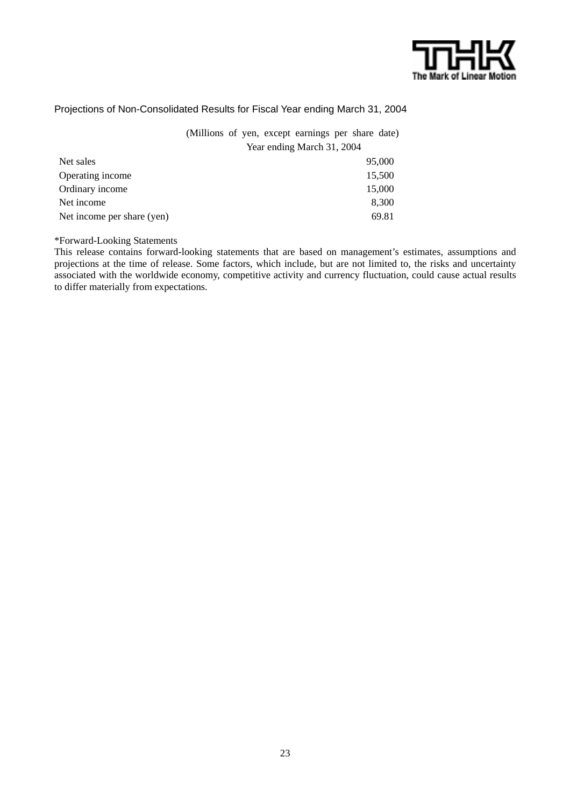

### Projections of Non-Consolidated Results for Fiscal Year ending March 31, 2004

(Millions of yen, except earnings per share date) Year ending March 31, 2004

| Net sales                  | 95,000 |
|----------------------------|--------|
| Operating income           | 15,500 |
| Ordinary income            | 15,000 |
| Net income                 | 8,300  |
| Net income per share (yen) | 69.81  |

\*Forward-Looking Statements

This release contains forward-looking statements that are based on management's estimates, assumptions and projections at the time of release. Some factors, which include, but are not limited to, the risks and uncertainty associated with the worldwide economy, competitive activity and currency fluctuation, could cause actual results to differ materially from expectations.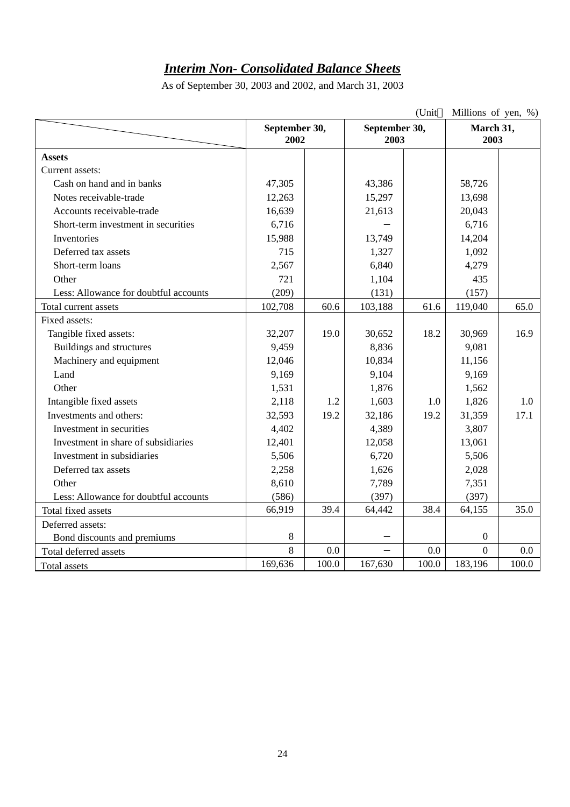# *Interim Non- Consolidated Balance Sheets*

As of September 30, 2003 and 2002, and March 31, 2003

|                                       |                       |       |                       | (Unit | Millions of yen, %) |         |
|---------------------------------------|-----------------------|-------|-----------------------|-------|---------------------|---------|
|                                       | September 30,<br>2002 |       | September 30,<br>2003 |       | March 31,<br>2003   |         |
| <b>Assets</b>                         |                       |       |                       |       |                     |         |
| Current assets:                       |                       |       |                       |       |                     |         |
| Cash on hand and in banks             | 47,305                |       | 43,386                |       | 58,726              |         |
| Notes receivable-trade                | 12,263                |       | 15,297                |       | 13,698              |         |
| Accounts receivable-trade             | 16,639                |       | 21,613                |       | 20,043              |         |
| Short-term investment in securities   | 6,716                 |       |                       |       | 6,716               |         |
| Inventories                           | 15,988                |       | 13,749                |       | 14,204              |         |
| Deferred tax assets                   | 715                   |       | 1,327                 |       | 1,092               |         |
| Short-term loans                      | 2,567                 |       | 6,840                 |       | 4,279               |         |
| Other                                 | 721                   |       | 1,104                 |       | 435                 |         |
| Less: Allowance for doubtful accounts | (209)                 |       | (131)                 |       | (157)               |         |
| Total current assets                  | 102,708               | 60.6  | 103,188               | 61.6  | 119,040             | 65.0    |
| Fixed assets:                         |                       |       |                       |       |                     |         |
| Tangible fixed assets:                | 32,207                | 19.0  | 30,652                | 18.2  | 30,969              | 16.9    |
| <b>Buildings and structures</b>       | 9,459                 |       | 8,836                 |       | 9,081               |         |
| Machinery and equipment               | 12,046                |       | 10,834                |       | 11,156              |         |
| Land                                  | 9,169                 |       | 9,104                 |       | 9,169               |         |
| Other                                 | 1,531                 |       | 1,876                 |       | 1,562               |         |
| Intangible fixed assets               | 2,118                 | 1.2   | 1,603                 | 1.0   | 1,826               | 1.0     |
| Investments and others:               | 32,593                | 19.2  | 32,186                | 19.2  | 31,359              | 17.1    |
| Investment in securities              | 4,402                 |       | 4,389                 |       | 3,807               |         |
| Investment in share of subsidiaries   | 12,401                |       | 12,058                |       | 13,061              |         |
| Investment in subsidiaries            | 5,506                 |       | 6,720                 |       | 5,506               |         |
| Deferred tax assets                   | 2,258                 |       | 1,626                 |       | 2,028               |         |
| Other                                 | 8,610                 |       | 7,789                 |       | 7,351               |         |
| Less: Allowance for doubtful accounts | (586)                 |       | (397)                 |       | (397)               |         |
| Total fixed assets                    | 66,919                | 39.4  | 64,442                | 38.4  | 64,155              | 35.0    |
| Deferred assets:                      |                       |       |                       |       |                     |         |
| Bond discounts and premiums           | 8                     |       |                       |       | $\boldsymbol{0}$    |         |
| Total deferred assets                 | 8                     | 0.0   |                       | 0.0   | $\Omega$            | $0.0\,$ |
| Total assets                          | 169,636               | 100.0 | 167,630               | 100.0 | 183,196             | 100.0   |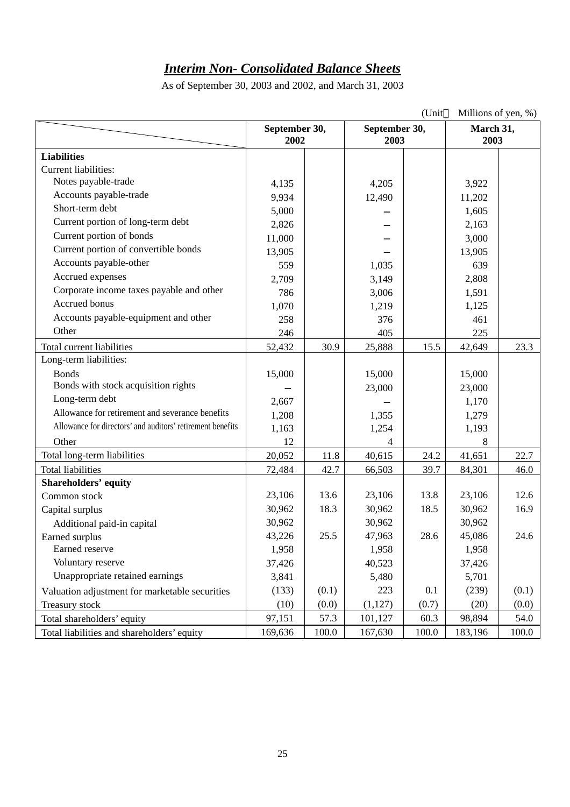# *Interim Non- Consolidated Balance Sheets*

As of September 30, 2003 and 2002, and March 31, 2003

|                                                            |                       |       |                       | (Unit | Millions of yen, %) |       |
|------------------------------------------------------------|-----------------------|-------|-----------------------|-------|---------------------|-------|
|                                                            | September 30,<br>2002 |       | September 30,<br>2003 |       | March 31,<br>2003   |       |
|                                                            |                       |       |                       |       |                     |       |
| <b>Liabilities</b>                                         |                       |       |                       |       |                     |       |
| <b>Current liabilities:</b>                                |                       |       |                       |       |                     |       |
| Notes payable-trade                                        | 4,135                 |       | 4,205                 |       | 3,922               |       |
| Accounts payable-trade                                     | 9,934                 |       | 12,490                |       | 11,202              |       |
| Short-term debt                                            | 5,000                 |       |                       |       | 1,605               |       |
| Current portion of long-term debt                          | 2,826                 |       |                       |       | 2,163               |       |
| Current portion of bonds                                   | 11,000                |       |                       |       | 3,000               |       |
| Current portion of convertible bonds                       | 13,905                |       |                       |       | 13,905              |       |
| Accounts payable-other                                     | 559                   |       | 1,035                 |       | 639                 |       |
| Accrued expenses                                           | 2,709                 |       | 3,149                 |       | 2,808               |       |
| Corporate income taxes payable and other                   | 786                   |       | 3,006                 |       | 1,591               |       |
| Accrued bonus                                              | 1,070                 |       | 1,219                 |       | 1,125               |       |
| Accounts payable-equipment and other                       | 258                   |       | 376                   |       | 461                 |       |
| Other                                                      | 246                   |       | 405                   |       | 225                 |       |
| Total current liabilities                                  | 52,432                | 30.9  | 25,888                | 15.5  | 42,649              | 23.3  |
| Long-term liabilities:                                     |                       |       |                       |       |                     |       |
| <b>Bonds</b>                                               | 15,000                |       | 15,000                |       | 15,000              |       |
| Bonds with stock acquisition rights                        |                       |       | 23,000                |       | 23,000              |       |
| Long-term debt                                             | 2,667                 |       |                       |       | 1,170               |       |
| Allowance for retirement and severance benefits            | 1,208                 |       | 1,355                 |       | 1,279               |       |
| Allowance for directors' and auditors' retirement benefits | 1,163                 |       | 1,254                 |       | 1,193               |       |
| Other                                                      | 12                    |       | 4                     |       | 8                   |       |
| Total long-term liabilities                                | 20,052                | 11.8  | 40,615                | 24.2  | 41,651              | 22.7  |
| <b>Total liabilities</b>                                   | 72,484                | 42.7  | 66,503                | 39.7  | 84,301              | 46.0  |
| <b>Shareholders' equity</b>                                |                       |       |                       |       |                     |       |
| Common stock                                               | 23,106                | 13.6  | 23,106                | 13.8  | 23,106              | 12.6  |
| Capital surplus                                            | 30,962                | 18.3  | 30,962                | 18.5  | 30,962              | 16.9  |
| Additional paid-in capital                                 | 30,962                |       | 30,962                |       | 30,962              |       |
| Earned surplus                                             | 43,226                | 25.5  | 47,963                | 28.6  | 45,086              | 24.6  |
| Earned reserve                                             | 1,958                 |       | 1,958                 |       | 1,958               |       |
| Voluntary reserve                                          | 37,426                |       | 40,523                |       | 37,426              |       |
| Unappropriate retained earnings                            | 3,841                 |       | 5,480                 |       | 5,701               |       |
| Valuation adjustment for marketable securities             | (133)                 | (0.1) | 223                   | 0.1   | (239)               | (0.1) |
| Treasury stock                                             | (10)                  | (0.0) | (1,127)               | (0.7) | (20)                | (0.0) |
| Total shareholders' equity                                 | 97,151                | 57.3  | 101,127               | 60.3  | 98,894              | 54.0  |
| Total liabilities and shareholders' equity                 | 169,636               | 100.0 | 167,630               | 100.0 | 183,196             | 100.0 |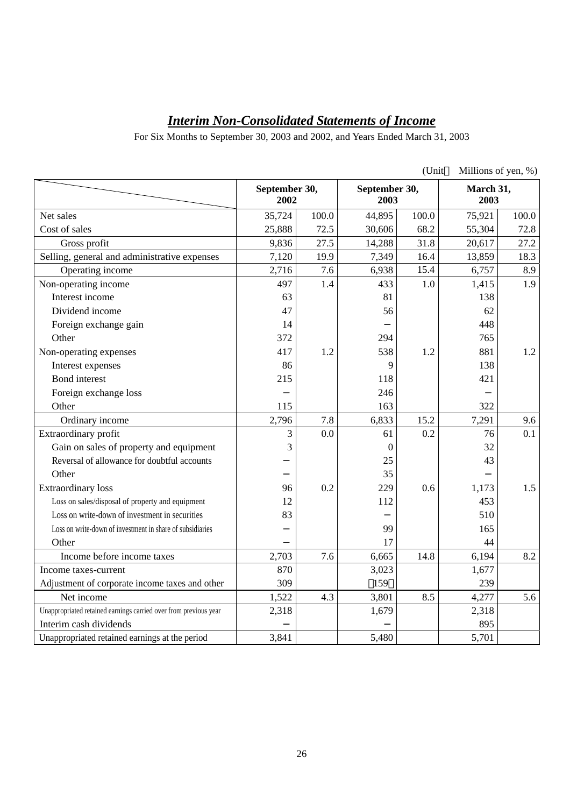# *Interim Non-Consolidated Statements of Income*

For Six Months to September 30, 2003 and 2002, and Years Ended March 31, 2003

|                                                                  |                       |       |                       | (Unit | Millions of yen, %) |       |
|------------------------------------------------------------------|-----------------------|-------|-----------------------|-------|---------------------|-------|
|                                                                  | September 30,<br>2002 |       | September 30,<br>2003 |       | March 31,<br>2003   |       |
| Net sales                                                        | 35,724                | 100.0 | 44,895                | 100.0 | 75,921              | 100.0 |
| Cost of sales                                                    | 25,888                | 72.5  | 30,606                | 68.2  | 55,304              | 72.8  |
| Gross profit                                                     | 9,836                 | 27.5  | 14,288                | 31.8  | 20,617              | 27.2  |
| Selling, general and administrative expenses                     | 7,120                 | 19.9  | 7,349                 | 16.4  | 13,859              | 18.3  |
| Operating income                                                 | 2,716                 | 7.6   | 6,938                 | 15.4  | 6,757               | 8.9   |
| Non-operating income                                             | 497                   | 1.4   | 433                   | 1.0   | 1,415               | 1.9   |
| Interest income                                                  | 63                    |       | 81                    |       | 138                 |       |
| Dividend income                                                  | 47                    |       | 56                    |       | 62                  |       |
| Foreign exchange gain                                            | 14                    |       |                       |       | 448                 |       |
| Other                                                            | 372                   |       | 294                   |       | 765                 |       |
| Non-operating expenses                                           | 417                   | 1.2   | 538                   | 1.2   | 881                 | 1.2   |
| Interest expenses                                                | 86                    |       | 9                     |       | 138                 |       |
| <b>Bond</b> interest                                             | 215                   |       | 118                   |       | 421                 |       |
| Foreign exchange loss                                            |                       |       | 246                   |       |                     |       |
| Other                                                            | 115                   |       | 163                   |       | 322                 |       |
| Ordinary income                                                  | 2,796                 | 7.8   | 6,833                 | 15.2  | 7,291               | 9.6   |
| Extraordinary profit                                             | 3                     | 0.0   | 61                    | 0.2   | 76                  | 0.1   |
| Gain on sales of property and equipment                          | 3                     |       | $\boldsymbol{0}$      |       | 32                  |       |
| Reversal of allowance for doubtful accounts                      |                       |       | 25                    |       | 43                  |       |
| Other                                                            |                       |       | 35                    |       |                     |       |
| <b>Extraordinary</b> loss                                        | 96                    | 0.2   | 229                   | 0.6   | 1,173               | 1.5   |
| Loss on sales/disposal of property and equipment                 | 12                    |       | 112                   |       | 453                 |       |
| Loss on write-down of investment in securities                   | 83                    |       |                       |       | 510                 |       |
| Loss on write-down of investment in share of subsidiaries        |                       |       | 99                    |       | 165                 |       |
| Other                                                            |                       |       | 17                    |       | 44                  |       |
| Income before income taxes                                       | 2,703                 | 7.6   | 6,665                 | 14.8  | 6,194               | 8.2   |
| Income taxes-current                                             | 870                   |       | 3,023                 |       | 1,677               |       |
| Adjustment of corporate income taxes and other                   | 309                   |       | 159                   |       | 239                 |       |
| Net income                                                       | 1,522                 | 4.3   | 3,801                 | 8.5   | 4,277               | 5.6   |
| Unappropriated retained earnings carried over from previous year | 2,318                 |       | 1,679                 |       | 2,318               |       |
| Interim cash dividends                                           |                       |       |                       |       | 895                 |       |
| Unappropriated retained earnings at the period                   | 3,841                 |       | 5,480                 |       | 5,701               |       |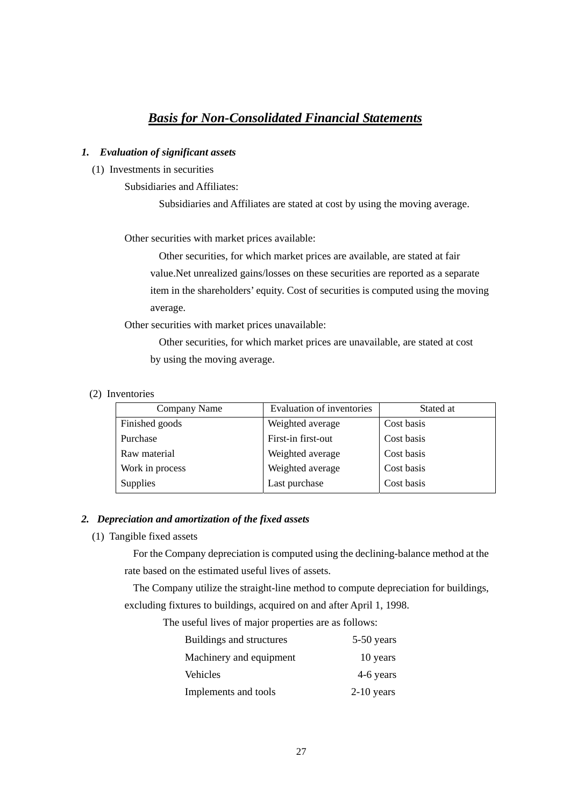# *Basis for Non-Consolidated Financial Statements*

#### *1. Evaluation of significant assets*

(1) Investments in securities

Subsidiaries and Affiliates:

Subsidiaries and Affiliates are stated at cost by using the moving average.

Other securities with market prices available:

Other securities, for which market prices are available, are stated at fair value.Net unrealized gains/losses on these securities are reported as a separate item in the shareholders' equity. Cost of securities is computed using the moving average.

Other securities with market prices unavailable:

Other securities, for which market prices are unavailable, are stated at cost by using the moving average.

(2) Inventories

| Company Name    | <b>Evaluation of inventories</b> | Stated at  |
|-----------------|----------------------------------|------------|
| Finished goods  | Weighted average                 | Cost basis |
| Purchase        | First-in first-out               | Cost basis |
| Raw material    | Weighted average                 | Cost basis |
| Work in process | Weighted average                 | Cost basis |
| <b>Supplies</b> | Last purchase                    | Cost basis |

#### *2. Depreciation and amortization of the fixed assets*

(1) Tangible fixed assets

For the Company depreciation is computed using the declining-balance method at the rate based on the estimated useful lives of assets.

The Company utilize the straight-line method to compute depreciation for buildings, excluding fixtures to buildings, acquired on and after April 1, 1998.

The useful lives of major properties are as follows:

| Buildings and structures | $5-50$ years |
|--------------------------|--------------|
| Machinery and equipment  | 10 years     |
| Vehicles                 | 4-6 years    |
| Implements and tools     | $2-10$ years |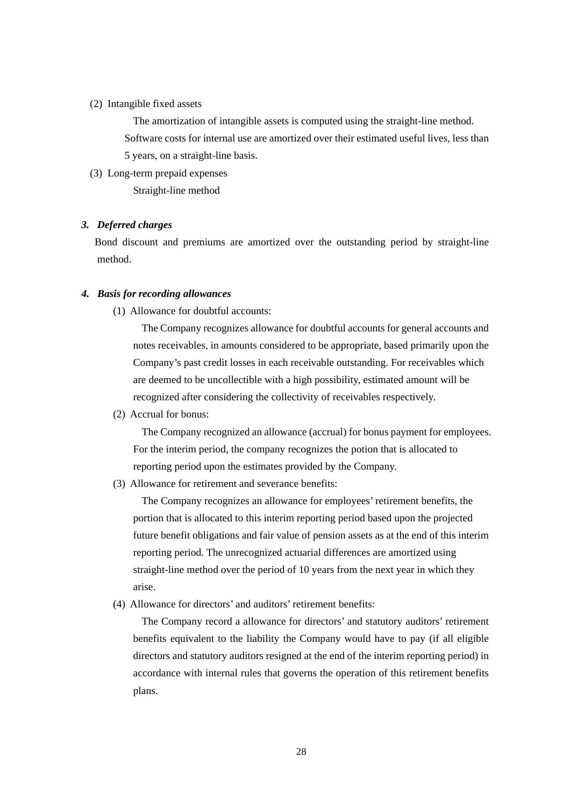#### (2) Intangible fixed assets

The amortization of intangible assets is computed using the straight-line method. Software costs for internal use are amortized over their estimated useful lives, less than 5 years, on a straight-line basis.

(3) Long-term prepaid expenses

Straight-line method

#### *3. Deferred charges*

 Bond discount and premiums are amortized over the outstanding period by straight-line method.

#### *4. Basis for recording allowances*

(1) Allowance for doubtful accounts:

The Company recognizes allowance for doubtful accounts for general accounts and notes receivables, in amounts considered to be appropriate, based primarily upon the Company's past credit losses in each receivable outstanding. For receivables which are deemed to be uncollectible with a high possibility, estimated amount will be recognized after considering the collectivity of receivables respectively.

(2) Accrual for bonus:

The Company recognized an allowance (accrual) for bonus payment for employees. For the interim period, the company recognizes the potion that is allocated to reporting period upon the estimates provided by the Company.

(3) Allowance for retirement and severance benefits:

The Company recognizes an allowance for employees' retirement benefits, the portion that is allocated to this interim reporting period based upon the projected future benefit obligations and fair value of pension assets as at the end of this interim reporting period. The unrecognized actuarial differences are amortized using straight-line method over the period of 10 years from the next year in which they arise.

(4) Allowance for directors' and auditors' retirement benefits:

The Company record a allowance for directors' and statutory auditors' retirement benefits equivalent to the liability the Company would have to pay (if all eligible directors and statutory auditors resigned at the end of the interim reporting period) in accordance with internal rules that governs the operation of this retirement benefits plans.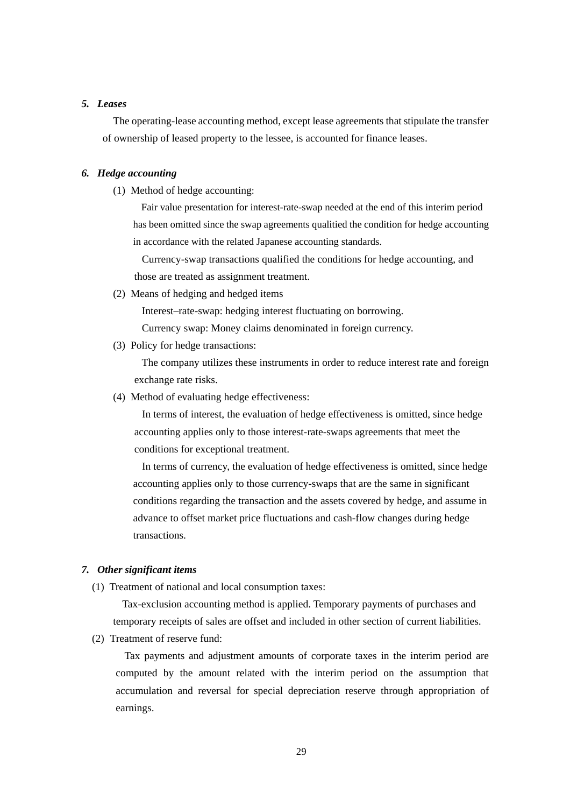#### *5. Leases*

The operating-lease accounting method, except lease agreements that stipulate the transfer of ownership of leased property to the lessee, is accounted for finance leases.

#### *6. Hedge accounting*

(1) Method of hedge accounting:

Fair value presentation for interest-rate-swap needed at the end of this interim period has been omitted since the swap agreements qualitied the condition for hedge accounting in accordance with the related Japanese accounting standards.

Currency-swap transactions qualified the conditions for hedge accounting, and those are treated as assignment treatment.

(2) Means of hedging and hedged items

Interest–rate-swap: hedging interest fluctuating on borrowing.

Currency swap: Money claims denominated in foreign currency.

(3) Policy for hedge transactions:

The company utilizes these instruments in order to reduce interest rate and foreign exchange rate risks.

(4) Method of evaluating hedge effectiveness:

In terms of interest, the evaluation of hedge effectiveness is omitted, since hedge accounting applies only to those interest-rate-swaps agreements that meet the conditions for exceptional treatment.

In terms of currency, the evaluation of hedge effectiveness is omitted, since hedge accounting applies only to those currency-swaps that are the same in significant conditions regarding the transaction and the assets covered by hedge, and assume in advance to offset market price fluctuations and cash-flow changes during hedge transactions.

#### *7. Other significant items*

(1) Treatment of national and local consumption taxes:

Tax-exclusion accounting method is applied. Temporary payments of purchases and temporary receipts of sales are offset and included in other section of current liabilities.

(2) Treatment of reserve fund:

Tax payments and adjustment amounts of corporate taxes in the interim period are computed by the amount related with the interim period on the assumption that accumulation and reversal for special depreciation reserve through appropriation of earnings.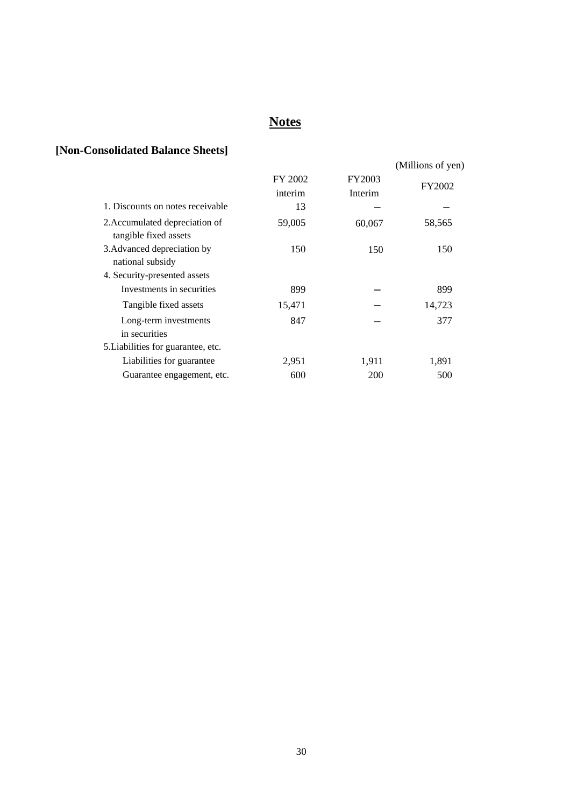# **Notes**

# **[Non-Consolidated Balance Sheets]**

|                                                         |                    |                   | (Millions of yen) |
|---------------------------------------------------------|--------------------|-------------------|-------------------|
|                                                         | FY 2002<br>interim | FY2003<br>Interim | FY2002            |
| 1. Discounts on notes receivable                        | 13                 |                   |                   |
| 2. Accumulated depreciation of<br>tangible fixed assets | 59,005             | 60,067            | 58,565            |
| 3. Advanced depreciation by<br>national subsidy         | 150                | 150               | 150               |
| 4. Security-presented assets                            |                    |                   |                   |
| Investments in securities                               | 899                |                   | 899               |
| Tangible fixed assets                                   | 15,471             |                   | 14,723            |
| Long-term investments<br>in securities                  | 847                |                   | 377               |
| 5. Liabilities for guarantee, etc.                      |                    |                   |                   |
| Liabilities for guarantee                               | 2,951              | 1,911             | 1,891             |
| Guarantee engagement, etc.                              | 600                | <b>200</b>        | 500               |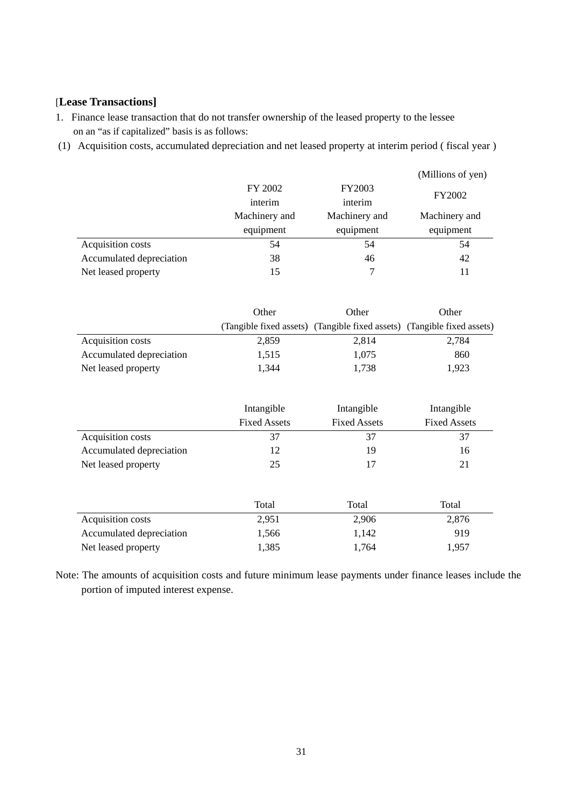### [**Lease Transactions]**

- 1. Finance lease transaction that do not transfer ownership of the leased property to the lessee on an "as if capitalized" basis is as follows:
- (1) Acquisition costs, accumulated depreciation and net leased property at interim period ( fiscal year )

|                          |               |               | (Millions of yen) |
|--------------------------|---------------|---------------|-------------------|
|                          | FY 2002       | <b>FY2003</b> |                   |
|                          | interim       | interim       | FY2002            |
|                          | Machinery and | Machinery and | Machinery and     |
|                          | equipment     | equipment     | equipment         |
| Acquisition costs        | 54            | 54            | 54                |
| Accumulated depreciation | 38            | 46            | 42                |
| Net leased property      | 15            |               |                   |

|                          | Other | Other                                                                   | Other |
|--------------------------|-------|-------------------------------------------------------------------------|-------|
|                          |       | (Tangible fixed assets) (Tangible fixed assets) (Tangible fixed assets) |       |
| Acquisition costs        | 2,859 | 2,814                                                                   | 2,784 |
| Accumulated depreciation | 1.515 | 1.075                                                                   | 860   |
| Net leased property      | 1.344 | 1.738                                                                   | 1.923 |

|                          | Intangible<br><b>Fixed Assets</b> | Intangible<br><b>Fixed Assets</b> | Intangible<br><b>Fixed Assets</b> |
|--------------------------|-----------------------------------|-----------------------------------|-----------------------------------|
| Acquisition costs        | 37                                | 37                                | 37                                |
| Accumulated depreciation | 12                                | 19                                | 16                                |
| Net leased property      | 25                                |                                   | 21                                |

|                          | Total | Total | Total |
|--------------------------|-------|-------|-------|
| Acquisition costs        | 2.951 | 2,906 | 2,876 |
| Accumulated depreciation | 1.566 | 1.142 | 919   |
| Net leased property      | 1.385 | 1.764 | 1.957 |

Note: The amounts of acquisition costs and future minimum lease payments under finance leases include the portion of imputed interest expense.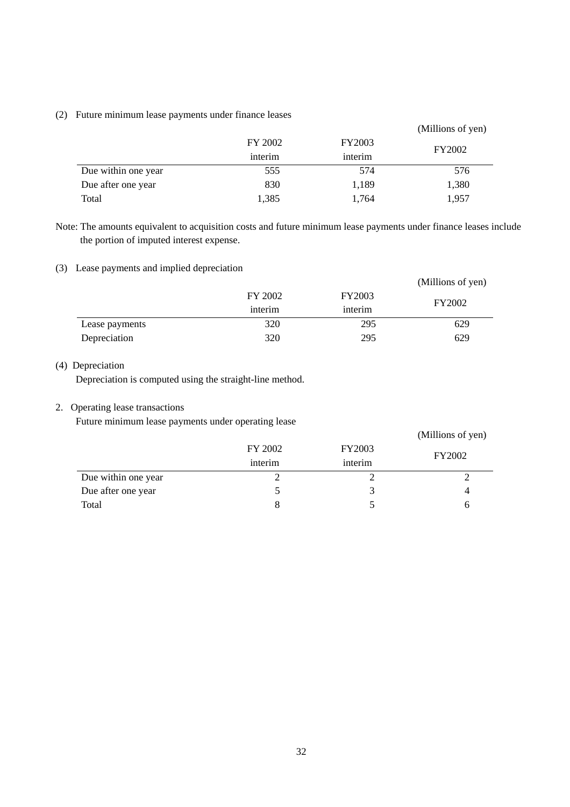#### (2) Future minimum lease payments under finance leases

|                     |                    |                          | (Millions of yen) |
|---------------------|--------------------|--------------------------|-------------------|
|                     | FY 2002<br>interim | <b>FY2003</b><br>interim | <b>FY2002</b>     |
| Due within one year | 555                | 574                      | 576               |
| Due after one year  | 830                | 1,189                    | 1,380             |
| Total               | 1,385              | 1,764                    | 1,957             |

Note: The amounts equivalent to acquisition costs and future minimum lease payments under finance leases include the portion of imputed interest expense.

### (3) Lease payments and implied depreciation

|                |         |               | (Millions of yen) |
|----------------|---------|---------------|-------------------|
|                | FY 2002 | <b>FY2003</b> | <b>FY2002</b>     |
|                | interim | interim       |                   |
| Lease payments | 320     | 295           | 629               |
| Depreciation   | 320     | 295           | 629               |

### (4) Depreciation

Depreciation is computed using the straight-line method.

### 2. Operating lease transactions

Future minimum lease payments under operating lease

|                     |         |         | (Millions of yen) |
|---------------------|---------|---------|-------------------|
|                     | FY 2002 | FY2003  | FY2002            |
|                     | interim | interim |                   |
| Due within one year |         |         |                   |
| Due after one year  |         |         | 4                 |
| Total               |         |         | h                 |